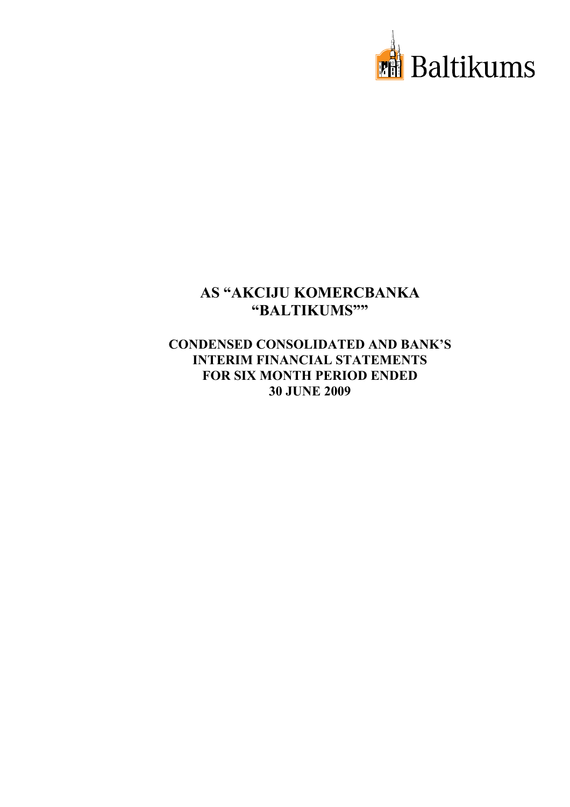

# **CONDENSED CONSOLIDATED AND BANK'S INTERIM FINANCIAL STATEMENTS FOR SIX MONTH PERIOD ENDED 30 JUNE 2009**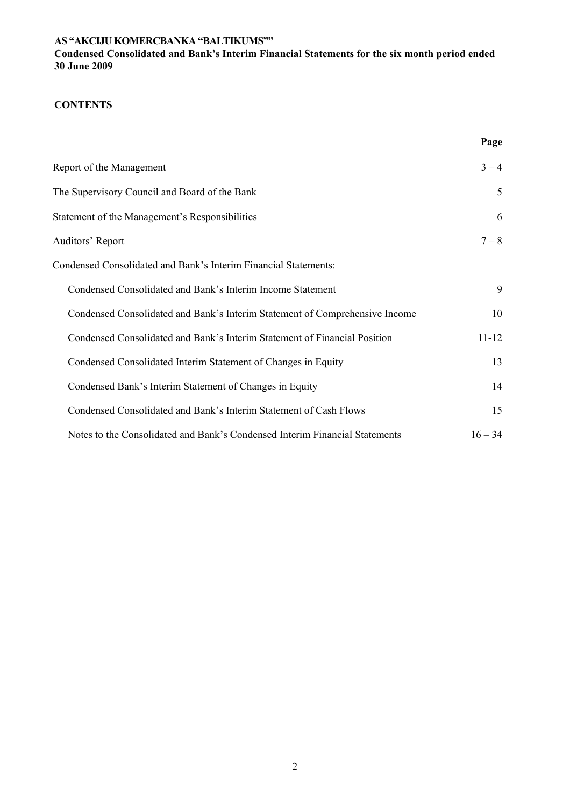## **CONTENTS**

|                                                                             | Page      |
|-----------------------------------------------------------------------------|-----------|
| Report of the Management                                                    | $3 - 4$   |
| The Supervisory Council and Board of the Bank                               | 5         |
| Statement of the Management's Responsibilities                              | 6         |
| Auditors' Report                                                            | $7 - 8$   |
| Condensed Consolidated and Bank's Interim Financial Statements:             |           |
| Condensed Consolidated and Bank's Interim Income Statement                  | 9         |
| Condensed Consolidated and Bank's Interim Statement of Comprehensive Income | 10        |
| Condensed Consolidated and Bank's Interim Statement of Financial Position   | $11 - 12$ |
| Condensed Consolidated Interim Statement of Changes in Equity               | 13        |
| Condensed Bank's Interim Statement of Changes in Equity                     | 14        |
| Condensed Consolidated and Bank's Interim Statement of Cash Flows           | 15        |
| Notes to the Consolidated and Bank's Condensed Interim Financial Statements | $16 - 34$ |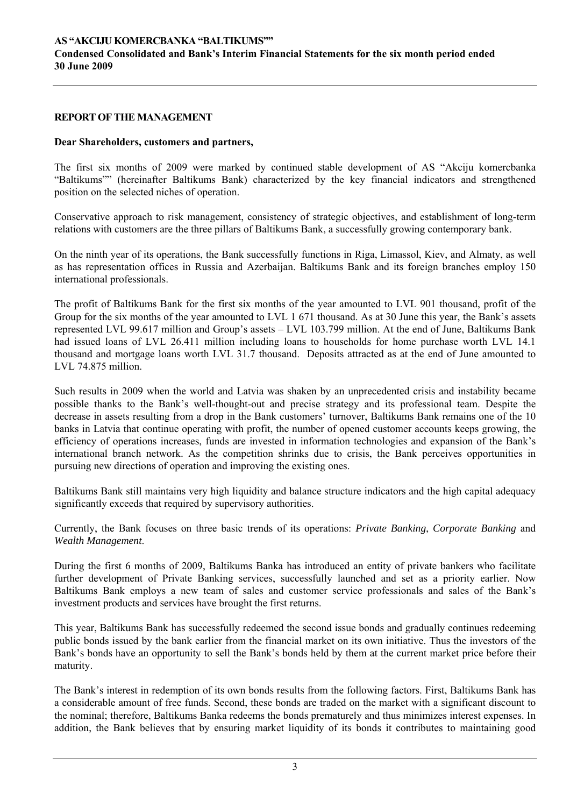#### **REPORT OF THE MANAGEMENT**

#### **Dear Shareholders, customers and partners,**

The first six months of 2009 were marked by continued stable development of AS "Akciju komercbanka "Baltikums"" (hereinafter Baltikums Bank) characterized by the key financial indicators and strengthened position on the selected niches of operation.

Conservative approach to risk management, consistency of strategic objectives, and establishment of long-term relations with customers are the three pillars of Baltikums Bank, a successfully growing contemporary bank.

On the ninth year of its operations, the Bank successfully functions in Riga, Limassol, Kiev, and Almaty, as well as has representation offices in Russia and Azerbaijan. Baltikums Bank and its foreign branches employ 150 international professionals.

The profit of Baltikums Bank for the first six months of the year amounted to LVL 901 thousand, profit of the Group for the six months of the year amounted to LVL 1 671 thousand. As at 30 June this year, the Bank's assets represented LVL 99.617 million and Group's assets – LVL 103.799 million. At the end of June, Baltikums Bank had issued loans of LVL 26.411 million including loans to households for home purchase worth LVL 14.1 thousand and mortgage loans worth LVL 31.7 thousand. Deposits attracted as at the end of June amounted to LVL 74.875 million.

Such results in 2009 when the world and Latvia was shaken by an unprecedented crisis and instability became possible thanks to the Bank's well-thought-out and precise strategy and its professional team. Despite the decrease in assets resulting from a drop in the Bank customers' turnover, Baltikums Bank remains one of the 10 banks in Latvia that continue operating with profit, the number of opened customer accounts keeps growing, the efficiency of operations increases, funds are invested in information technologies and expansion of the Bank's international branch network. As the competition shrinks due to crisis, the Bank perceives opportunities in pursuing new directions of operation and improving the existing ones.

Baltikums Bank still maintains very high liquidity and balance structure indicators and the high capital adequacy significantly exceeds that required by supervisory authorities.

Currently, the Bank focuses on three basic trends of its operations: *Private Banking*, *Corporate Banking* and *Wealth Management*.

During the first 6 months of 2009, Baltikums Banka has introduced an entity of private bankers who facilitate further development of Private Banking services, successfully launched and set as a priority earlier. Now Baltikums Bank employs a new team of sales and customer service professionals and sales of the Bank's investment products and services have brought the first returns.

This year, Baltikums Bank has successfully redeemed the second issue bonds and gradually continues redeeming public bonds issued by the bank earlier from the financial market on its own initiative. Thus the investors of the Bank's bonds have an opportunity to sell the Bank's bonds held by them at the current market price before their maturity.

The Bank's interest in redemption of its own bonds results from the following factors. First, Baltikums Bank has a considerable amount of free funds. Second, these bonds are traded on the market with a significant discount to the nominal; therefore, Baltikums Banka redeems the bonds prematurely and thus minimizes interest expenses. In addition, the Bank believes that by ensuring market liquidity of its bonds it contributes to maintaining good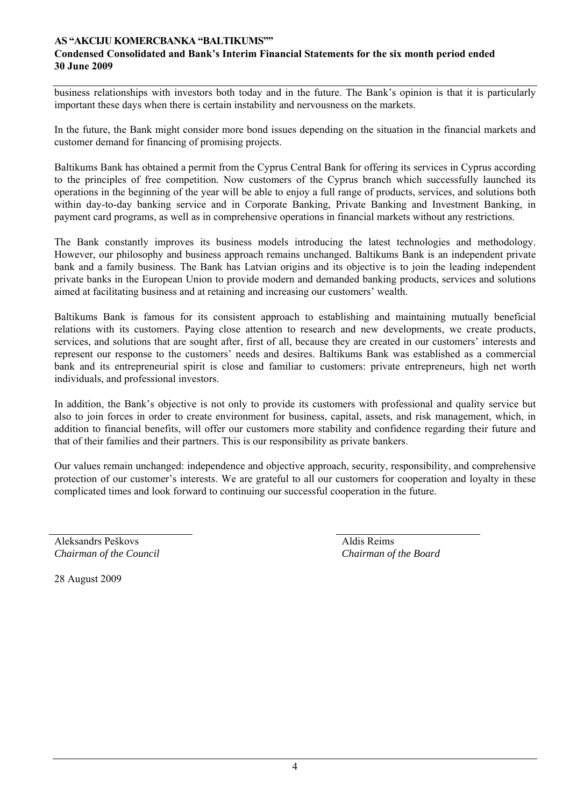business relationships with investors both today and in the future. The Bank's opinion is that it is particularly important these days when there is certain instability and nervousness on the markets.

In the future, the Bank might consider more bond issues depending on the situation in the financial markets and customer demand for financing of promising projects.

Baltikums Bank has obtained a permit from the Cyprus Central Bank for offering its services in Cyprus according to the principles of free competition*.* Now customers of the Cyprus branch which successfully launched its operations in the beginning of the year will be able to enjoy a full range of products, services, and solutions both within day-to-day banking service and in Corporate Banking, Private Banking and Investment Banking, in payment card programs, as well as in comprehensive operations in financial markets without any restrictions.

The Bank constantly improves its business models introducing the latest technologies and methodology. However, our philosophy and business approach remains unchanged. Baltikums Bank is an independent private bank and a family business. The Bank has Latvian origins and its objective is to join the leading independent private banks in the European Union to provide modern and demanded banking products, services and solutions aimed at facilitating business and at retaining and increasing our customers' wealth.

Baltikums Bank is famous for its consistent approach to establishing and maintaining mutually beneficial relations with its customers. Paying close attention to research and new developments, we create products, services, and solutions that are sought after, first of all, because they are created in our customers' interests and represent our response to the customers' needs and desires. Baltikums Bank was established as a commercial bank and its entrepreneurial spirit is close and familiar to customers: private entrepreneurs, high net worth individuals, and professional investors.

In addition, the Bank's objective is not only to provide its customers with professional and quality service but also to join forces in order to create environment for business, capital, assets, and risk management, which, in addition to financial benefits, will offer our customers more stability and confidence regarding their future and that of their families and their partners. This is our responsibility as private bankers.

Our values remain unchanged: independence and objective approach, security, responsibility, and comprehensive protection of our customer's interests. We are grateful to all our customers for cooperation and loyalty in these complicated times and look forward to continuing our successful cooperation in the future.

Aleksandrs Peškovs *Chairman of the Council*   Aldis Reims *Chairman of the Board*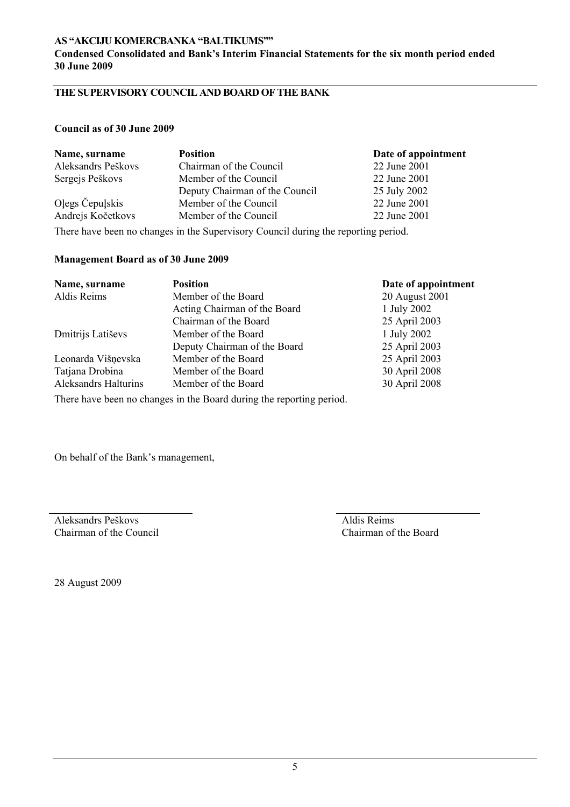**Condensed Consolidated and Bank's Interim Financial Statements for the six month period ended 30 June 2009** 

# **THE SUPERVISORY COUNCIL AND BOARD OF THE BANK**

#### **Council as of 30 June 2009**

| Name, surname      | <b>Position</b>                | Date of appointment |
|--------------------|--------------------------------|---------------------|
| Aleksandrs Peškovs | Chairman of the Council        | 22 June 2001        |
| Sergejs Peškovs    | Member of the Council          | 22 June 2001        |
|                    | Deputy Chairman of the Council | 25 July 2002        |
| Olegs Čepulskis    | Member of the Council          | 22 June 2001        |
| Andrejs Kočetkovs  | Member of the Council          | 22 June 2001        |
|                    |                                |                     |

There have been no changes in the Supervisory Council during the reporting period.

### **Management Board as of 30 June 2009**

| Name, surname               | <b>Position</b>                                                      | Date of appointment |
|-----------------------------|----------------------------------------------------------------------|---------------------|
| Aldis Reims                 | Member of the Board                                                  | 20 August 2001      |
|                             | Acting Chairman of the Board                                         | 1 July 2002         |
|                             | Chairman of the Board                                                | 25 April 2003       |
| Dmitrijs Latiševs           | Member of the Board                                                  | 1 July 2002         |
|                             | Deputy Chairman of the Board                                         | 25 April 2003       |
| Leonarda Višņevska          | Member of the Board                                                  | 25 April 2003       |
| Tatjana Drobina             | Member of the Board                                                  | 30 April 2008       |
| <b>Aleksandrs Halturins</b> | Member of the Board                                                  | 30 April 2008       |
|                             | There have been no changes in the Board during the reporting period. |                     |

On behalf of the Bank's management,

Aleksandrs Peškovs Chairman of the Council  Aldis Reims Chairman of the Board

28 August 2009

5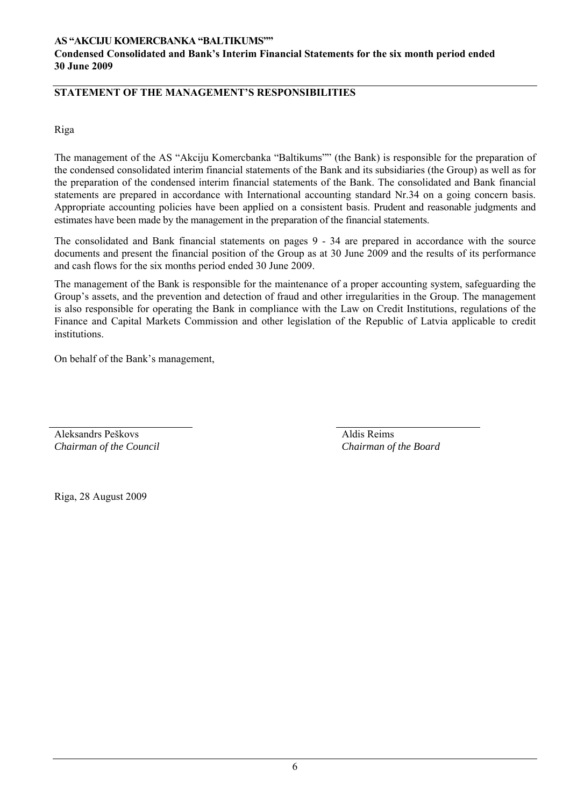# **STATEMENT OF THE MANAGEMENT'S RESPONSIBILITIES**

Riga

The management of the AS "Akciju Komercbanka "Baltikums"" (the Bank) is responsible for the preparation of the condensed consolidated interim financial statements of the Bank and its subsidiaries (the Group) as well as for the preparation of the condensed interim financial statements of the Bank. The consolidated and Bank financial statements are prepared in accordance with International accounting standard Nr.34 on a going concern basis. Appropriate accounting policies have been applied on a consistent basis. Prudent and reasonable judgments and estimates have been made by the management in the preparation of the financial statements.

The consolidated and Bank financial statements on pages 9 - 34 are prepared in accordance with the source documents and present the financial position of the Group as at 30 June 2009 and the results of its performance and cash flows for the six months period ended 30 June 2009.

The management of the Bank is responsible for the maintenance of a proper accounting system, safeguarding the Group's assets, and the prevention and detection of fraud and other irregularities in the Group. The management is also responsible for operating the Bank in compliance with the Law on Credit Institutions, regulations of the Finance and Capital Markets Commission and other legislation of the Republic of Latvia applicable to credit institutions.

On behalf of the Bank's management,

Aleksandrs Peškovs *Chairman of the Council*  Aldis Reims *Chairman of the Board* 

Riga, 28 August 2009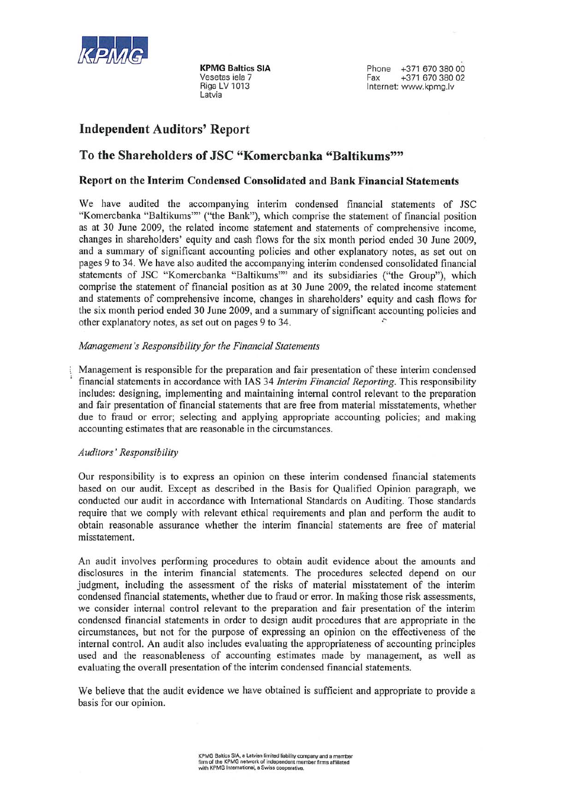

**KPMG Baltics SIA** Vesetas iela 7 Riga LV 1013 l atvia

Phone +371 670 380 00 Fax +371 670 380 02 Internet: www.kpmg.lv

# **Independent Auditors' Report**

# To the Shareholders of JSC "Komercbanka "Baltikums""

#### Report on the Interim Condensed Consolidated and Bank Financial Statements

We have audited the accompanying interim condensed financial statements of JSC "Komercbanka "Baltikums"" ("the Bank"), which comprise the statement of financial position as at 30 June 2009, the related income statement and statements of comprehensive income. changes in shareholders' equity and cash flows for the six month period ended 30 June 2009, and a summary of significant accounting policies and other explanatory notes, as set out on pages 9 to 34. We have also audited the accompanying interim condensed consolidated financial statements of JSC "Komercbanka "Baltikums"" and its subsidiaries ("the Group"), which comprise the statement of financial position as at 30 June 2009, the related income statement and statements of comprehensive income, changes in shareholders' equity and cash flows for the six month period ended 30 June 2009, and a summary of significant accounting policies and other explanatory notes, as set out on pages 9 to 34.

#### Management's Responsibility for the Financial Statements

Management is responsible for the preparation and fair presentation of these interim condensed financial statements in accordance with IAS 34 *Interim Financial Reporting*. This responsibility includes: designing, implementing and maintaining internal control relevant to the preparation and fair presentation of financial statements that are free from material misstatements, whether due to fraud or error; selecting and applying appropriate accounting policies; and making accounting estimates that are reasonable in the circumstances.

#### Auditors' Responsibility

Our responsibility is to express an opinion on these interim condensed financial statements based on our audit. Except as described in the Basis for Qualified Opinion paragraph, we conducted our audit in accordance with International Standards on Auditing. Those standards require that we comply with relevant ethical requirements and plan and perform the audit to obtain reasonable assurance whether the interim financial statements are free of material misstatement.

An audit involves performing procedures to obtain audit evidence about the amounts and disclosures in the interim financial statements. The procedures selected depend on our judgment, including the assessment of the risks of material misstatement of the interim condensed financial statements, whether due to fraud or error. In making those risk assessments, we consider internal control relevant to the preparation and fair presentation of the interim condensed financial statements in order to design audit procedures that are appropriate in the circumstances, but not for the purpose of expressing an opinion on the effectiveness of the internal control. An audit also includes evaluating the appropriateness of accounting principles used and the reasonableness of accounting estimates made by management, as well as evaluating the overall presentation of the interim condensed financial statements.

We believe that the audit evidence we have obtained is sufficient and appropriate to provide a basis for our opinion.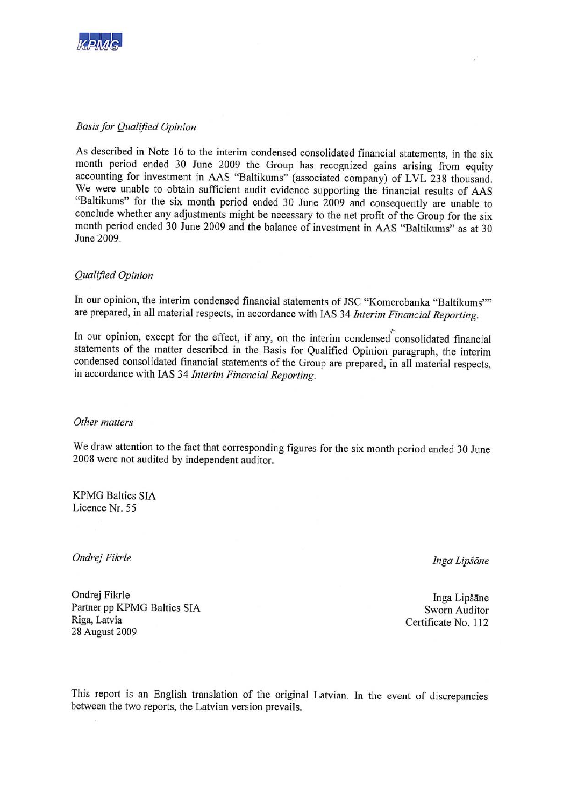

#### **Basis for Qualified Opinion**

As described in Note 16 to the interim condensed consolidated financial statements, in the six month period ended 30 June 2009 the Group has recognized gains arising from equity accounting for investment in AAS "Baltikums" (associated company) of LVL 238 thousand. We were unable to obtain sufficient audit evidence supporting the financial results of AAS "Baltikums" for the six month period ended 30 June 2009 and consequently are unable to conclude whether any adjustments might be necessary to the net profit of the Group for the six month period ended 30 June 2009 and the balance of investment in AAS "Baltikums" as at 30 June 2009.

#### Qualified Opinion

In our opinion, the interim condensed financial statements of JSC "Komercbanka "Baltikums"" are prepared, in all material respects, in accordance with IAS 34 Interim Financial Reporting.

In our opinion, except for the effect, if any, on the interim condensed consolidated financial statements of the matter described in the Basis for Qualified Opinion paragraph, the interim condensed consolidated financial statements of the Group are prepared, in all material respects, in accordance with IAS 34 Interim Financial Reporting.

#### Other matters

We draw attention to the fact that corresponding figures for the six month period ended 30 June 2008 were not audited by independent auditor.

**KPMG Baltics SIA** Licence Nr. 55

Ondrej Fikrle

Inga Lipšāne

Ondrej Fikrle Partner pp KPMG Baltics SIA Riga, Latvia 28 August 2009

Inga Lipšāne Sworn Auditor Certificate No. 112

This report is an English translation of the original Latvian. In the event of discrepancies between the two reports, the Latvian version prevails.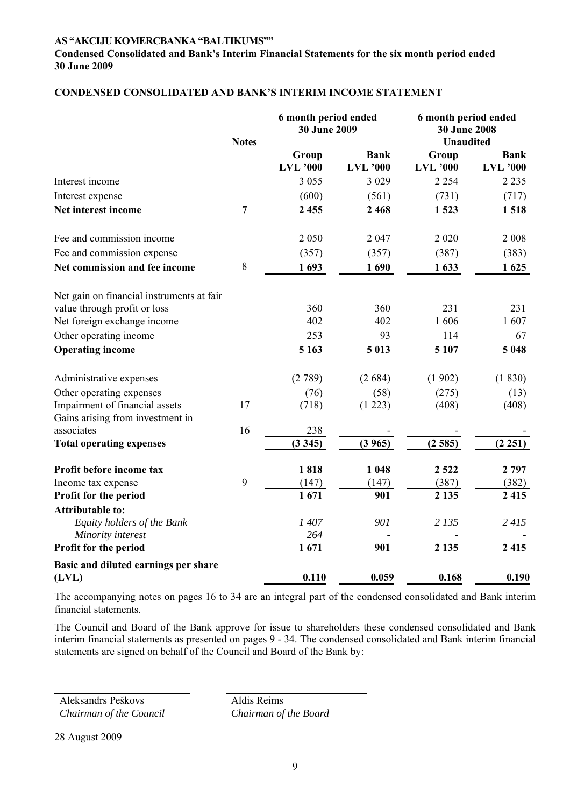#### **Condensed Consolidated and Bank's Interim Financial Statements for the six month period ended 30 June 2009**

# **CONDENSED CONSOLIDATED AND BANK'S INTERIM INCOME STATEMENT**

|                                               | <b>Notes</b>   | 6 month period ended<br>30 June 2009 |                                | 6 month period ended<br><b>30 June 2008</b><br><b>Unaudited</b> |                                |
|-----------------------------------------------|----------------|--------------------------------------|--------------------------------|-----------------------------------------------------------------|--------------------------------|
|                                               |                | Group<br><b>LVL</b> '000             | <b>Bank</b><br><b>LVL</b> '000 | Group<br><b>LVL</b> '000                                        | <b>Bank</b><br><b>LVL</b> '000 |
| Interest income                               |                | 3 0 5 5                              | 3 0 2 9                        | 2 2 5 4                                                         | 2 2 3 5                        |
| Interest expense                              |                | (600)                                | (561)                          | (731)                                                           | (717)                          |
| Net interest income                           | $\overline{7}$ | 2 4 5 5                              | 2 4 6 8                        | 1523                                                            | 1518                           |
| Fee and commission income                     |                | 2 0 5 0                              | 2 0 4 7                        | 2 0 2 0                                                         | 2 0 0 8                        |
| Fee and commission expense                    |                | (357)                                | (357)                          | (387)                                                           | (383)                          |
| Net commission and fee income                 | 8              | 1693                                 | 1690                           | 1633                                                            | 1625                           |
| Net gain on financial instruments at fair     |                |                                      |                                |                                                                 |                                |
| value through profit or loss                  |                | 360                                  | 360                            | 231                                                             | 231                            |
| Net foreign exchange income                   |                | 402                                  | 402                            | 1606                                                            | 1607                           |
| Other operating income                        |                | 253                                  | 93                             | 114                                                             | 67                             |
| <b>Operating income</b>                       |                | 5 1 6 3                              | 5 0 13                         | 5 107                                                           | 5 0 48                         |
| Administrative expenses                       |                | (2789)                               | (2684)                         | (1902)                                                          | (1830)                         |
| Other operating expenses                      |                | (76)                                 | (58)                           | (275)                                                           | (13)                           |
| Impairment of financial assets                | 17             | (718)                                | (1 223)                        | (408)                                                           | (408)                          |
| Gains arising from investment in              |                |                                      |                                |                                                                 |                                |
| associates                                    | 16             | 238                                  |                                |                                                                 |                                |
| <b>Total operating expenses</b>               |                | (3345)                               | (3965)                         | (2585)                                                          | (2 251)                        |
| Profit before income tax                      |                | 1818                                 | 1 0 4 8                        | 2 5 2 2                                                         | 2 7 9 7                        |
| Income tax expense                            | 9              | (147)                                | (147)                          | (387)                                                           | (382)                          |
| Profit for the period                         |                | 1671                                 | 901                            | 2 1 3 5                                                         | 2 4 1 5                        |
| <b>Attributable to:</b>                       |                |                                      |                                |                                                                 |                                |
| Equity holders of the Bank                    |                | 1407                                 | 901                            | 2 1 3 5                                                         | 2 415                          |
| Minority interest                             |                | 264                                  |                                |                                                                 |                                |
| Profit for the period                         |                | 1671                                 | 901                            | 2 1 3 5                                                         | 2 4 1 5                        |
| Basic and diluted earnings per share<br>(LVL) |                | 0.110                                | 0.059                          | 0.168                                                           | 0.190                          |

The accompanying notes on pages 16 to 34 are an integral part of the condensed consolidated and Bank interim financial statements.

The Council and Board of the Bank approve for issue to shareholders these condensed consolidated and Bank interim financial statements as presented on pages 9 - 34. The condensed consolidated and Bank interim financial statements are signed on behalf of the Council and Board of the Bank by:

Aleksandrs Peškovs *Chairman of the Council*  Aldis Reims *Chairman of the Board*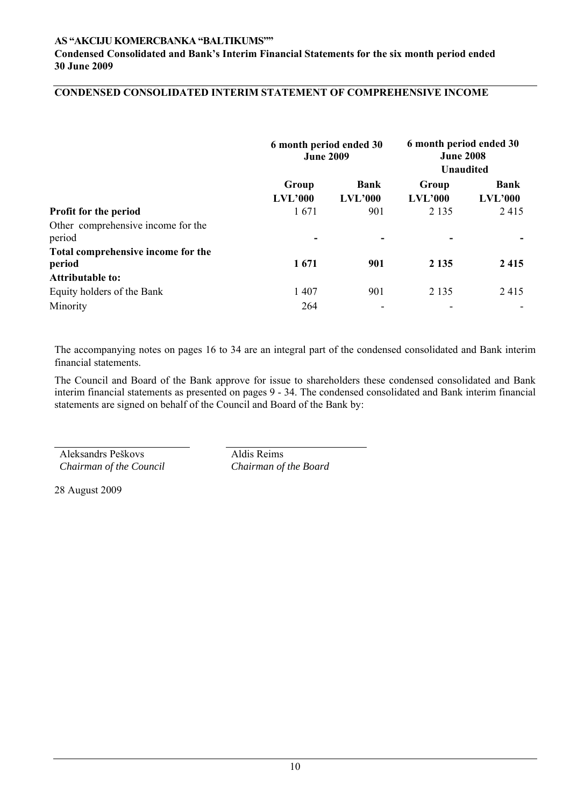**Condensed Consolidated and Bank's Interim Financial Statements for the six month period ended 30 June 2009** 

# **CONDENSED CONSOLIDATED INTERIM STATEMENT OF COMPREHENSIVE INCOME**

|                                                                   | 6 month period ended 30<br><b>June 2009</b> |                        | 6 month period ended 30<br><b>June 2008</b><br><b>Unaudited</b> |                 |
|-------------------------------------------------------------------|---------------------------------------------|------------------------|-----------------------------------------------------------------|-----------------|
|                                                                   | Group<br>LVL'000                            | <b>Bank</b><br>LVL'000 | Group<br>LVL'000                                                | Bank<br>LVL'000 |
| Profit for the period                                             | 1671                                        | 901                    | 2 1 3 5                                                         | 2415            |
| Other comprehensive income for the<br>period                      |                                             |                        |                                                                 |                 |
| Total comprehensive income for the<br>period                      | 1671                                        | 901                    | 2 1 3 5                                                         | 2 4 1 5         |
| <b>Attributable to:</b><br>Equity holders of the Bank<br>Minority | 1407<br>264                                 | 901<br>۰               | 2 1 3 5                                                         | 2415            |

The accompanying notes on pages 16 to 34 are an integral part of the condensed consolidated and Bank interim financial statements.

The Council and Board of the Bank approve for issue to shareholders these condensed consolidated and Bank interim financial statements as presented on pages 9 - 34. The condensed consolidated and Bank interim financial statements are signed on behalf of the Council and Board of the Bank by:

Aleksandrs Peškovs *Chairman of the Council*  Aldis Reims *Chairman of the Board*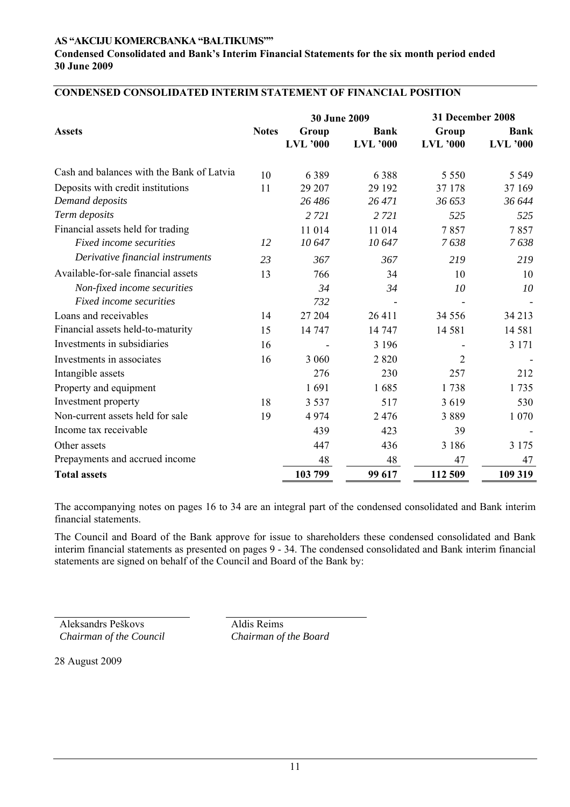**Condensed Consolidated and Bank's Interim Financial Statements for the six month period ended 30 June 2009** 

|                                           |              | <b>30 June 2009</b>      |                                |                          | 31 December 2008               |  |
|-------------------------------------------|--------------|--------------------------|--------------------------------|--------------------------|--------------------------------|--|
| <b>Assets</b>                             | <b>Notes</b> | Group<br><b>LVL</b> '000 | <b>Bank</b><br><b>LVL</b> '000 | Group<br><b>LVL</b> '000 | <b>Bank</b><br><b>LVL</b> '000 |  |
| Cash and balances with the Bank of Latvia | 10           | 6389                     | 6388                           | 5 5 5 0                  | 5 5 4 9                        |  |
| Deposits with credit institutions         | 11           | 29 207                   | 29 192                         | 37 178                   | 37 169                         |  |
| Demand deposits                           |              | 26 48 6                  | 26 471                         | 36 653                   | 36 644                         |  |
| Term deposits                             |              | 2 7 2 1                  | 2 7 2 1                        | 525                      | 525                            |  |
| Financial assets held for trading         |              | 11 014                   | 11 014                         | 7857                     | 7857                           |  |
| Fixed income securities                   | 12           | 10647                    | 10647                          | 7638                     | 7638                           |  |
| Derivative financial instruments          | 23           | 367                      | 367                            | 219                      | 219                            |  |
| Available-for-sale financial assets       | 13           | 766                      | 34                             | 10                       | 10                             |  |
| Non-fixed income securities               |              | 34                       | 34                             | 10                       | 10                             |  |
| Fixed income securities                   |              | 732                      | $\overline{\phantom{a}}$       |                          |                                |  |
| Loans and receivables                     | 14           | 27 204                   | 26 411                         | 34 5 5 6                 | 34 213                         |  |
| Financial assets held-to-maturity         | 15           | 14 747                   | 14 747                         | 14 5 8 1                 | 14 581                         |  |
| Investments in subsidiaries               | 16           |                          | 3 1 9 6                        |                          | 3 1 7 1                        |  |
| Investments in associates                 | 16           | 3 0 6 0                  | 2820                           | $\overline{2}$           |                                |  |
| Intangible assets                         |              | 276                      | 230                            | 257                      | 212                            |  |
| Property and equipment                    |              | 1691                     | 1685                           | 1738                     | 1735                           |  |
| Investment property                       | 18           | 3 5 3 7                  | 517                            | 3619                     | 530                            |  |
| Non-current assets held for sale          | 19           | 4974                     | 2476                           | 3889                     | 1 0 7 0                        |  |
| Income tax receivable                     |              | 439                      | 423                            | 39                       |                                |  |
| Other assets                              |              | 447                      | 436                            | 3 1 8 6                  | 3 1 7 5                        |  |
| Prepayments and accrued income            |              | 48                       | 48                             | 47                       | 47                             |  |
| <b>Total assets</b>                       |              | 103 799                  | 99 617                         | 112 509                  | 109 319                        |  |

# **CONDENSED CONSOLIDATED INTERIM STATEMENT OF FINANCIAL POSITION**

The accompanying notes on pages 16 to 34 are an integral part of the condensed consolidated and Bank interim financial statements.

The Council and Board of the Bank approve for issue to shareholders these condensed consolidated and Bank interim financial statements as presented on pages 9 - 34. The condensed consolidated and Bank interim financial statements are signed on behalf of the Council and Board of the Bank by:

Aleksandrs Peškovs *Chairman of the Council*  Aldis Reims *Chairman of the Board*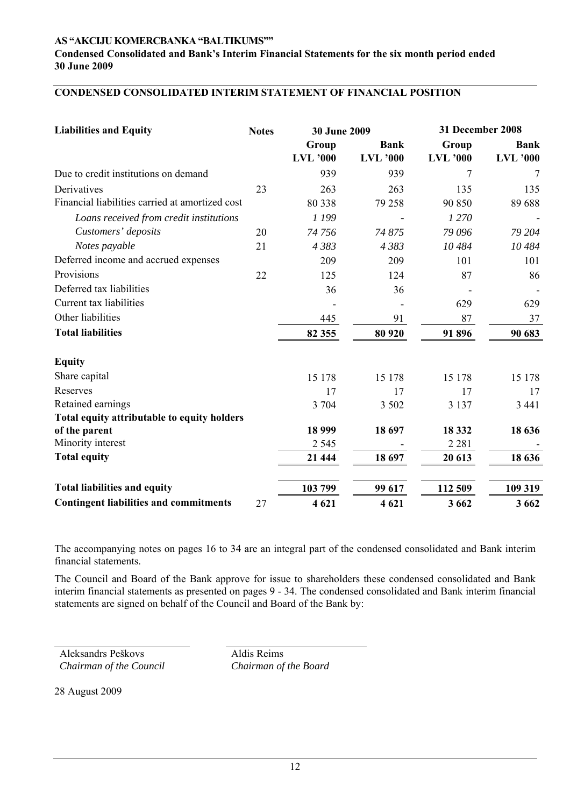**Condensed Consolidated and Bank's Interim Financial Statements for the six month period ended 30 June 2009** 

# **CONDENSED CONSOLIDATED INTERIM STATEMENT OF FINANCIAL POSITION**

| <b>Liabilities and Equity</b>                   | <b>Notes</b> | 30 June 2009    |                 | 31 December 2008 |                 |
|-------------------------------------------------|--------------|-----------------|-----------------|------------------|-----------------|
|                                                 |              | Group           | <b>Bank</b>     | Group            | <b>Bank</b>     |
|                                                 |              | <b>LVL</b> '000 | <b>LVL</b> '000 | <b>LVL</b> '000  | <b>LVL</b> '000 |
| Due to credit institutions on demand            |              | 939             | 939             | 7                | 7               |
| Derivatives                                     | 23           | 263             | 263             | 135              | 135             |
| Financial liabilities carried at amortized cost |              | 80 338          | 79 258          | 90 850           | 89 688          |
| Loans received from credit institutions         |              | 1 199           |                 | 1 270            |                 |
| Customers' deposits                             | 20           | 74 756          | 74 875          | 79 096           | 79 204          |
| Notes payable                                   | 21           | 4 3 8 3         | 4 3 8 3         | 10 484           | 10 484          |
| Deferred income and accrued expenses            |              | 209             | 209             | 101              | 101             |
| Provisions                                      | 22           | 125             | 124             | 87               | 86              |
| Deferred tax liabilities                        |              | 36              | 36              |                  |                 |
| Current tax liabilities                         |              |                 |                 | 629              | 629             |
| Other liabilities                               |              | 445             | 91              | 87               | 37              |
| <b>Total liabilities</b>                        |              | 82 355          | 80 920          | 91 896           | 90 683          |
| <b>Equity</b>                                   |              |                 |                 |                  |                 |
| Share capital                                   |              | 15 178          | 15 178          | 15 178           | 15 178          |
| Reserves                                        |              | 17              | 17              | 17               | 17              |
| Retained earnings                               |              | 3 704           | 3 5 0 2         | 3 1 3 7          | 3 4 4 1         |
| Total equity attributable to equity holders     |              |                 |                 |                  |                 |
| of the parent                                   |              | 18 999          | 18 697          | 18 3 32          | 18 636          |
| Minority interest                               |              | 2 5 4 5         |                 | 2 2 8 1          |                 |
| <b>Total equity</b>                             |              | 21 444          | 18 697          | 20 613           | 18 636          |
| <b>Total liabilities and equity</b>             |              | 103 799         | 99 617          | 112 509          | 109 319         |
| <b>Contingent liabilities and commitments</b>   | 27           | 4 621           | 4621            | 3 6 6 2          | 3 6 6 2         |

The accompanying notes on pages 16 to 34 are an integral part of the condensed consolidated and Bank interim financial statements.

The Council and Board of the Bank approve for issue to shareholders these condensed consolidated and Bank interim financial statements as presented on pages 9 - 34. The condensed consolidated and Bank interim financial statements are signed on behalf of the Council and Board of the Bank by:

Aleksandrs Peškovs *Chairman of the Council*  Aldis Reims *Chairman of the Board*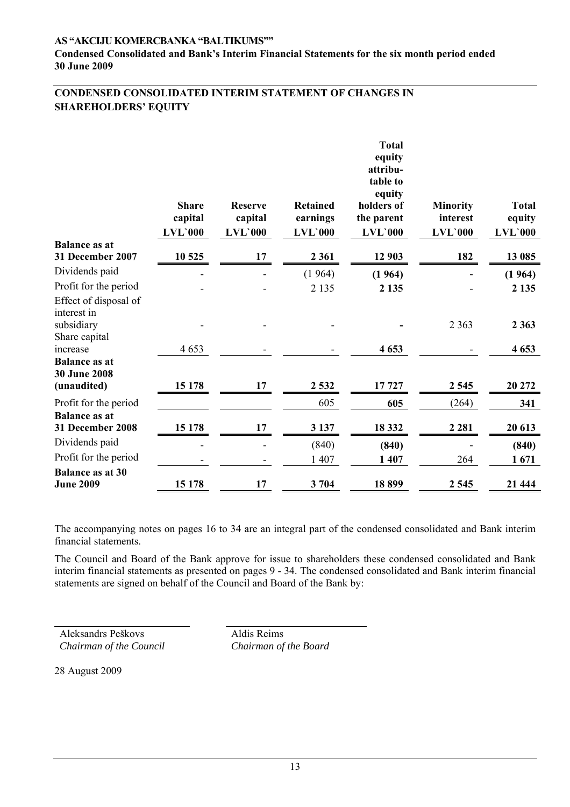**Condensed Consolidated and Bank's Interim Financial Statements for the six month period ended 30 June 2009** 

# **CONDENSED CONSOLIDATED INTERIM STATEMENT OF CHANGES IN SHAREHOLDERS' EQUITY**

|                                                                     | <b>Share</b><br>capital<br><b>LVL'000</b> | <b>Reserve</b><br>capital<br>$LVL$ 000 | <b>Retained</b><br>earnings<br><b>LVL'000</b> | <b>Total</b><br>equity<br>attribu-<br>table to<br>equity<br>holders of<br>the parent<br>$LVL$ 000 | <b>Minority</b><br>interest<br>$LVL$ 000 | <b>Total</b><br>equity<br><b>LVL`000</b> |
|---------------------------------------------------------------------|-------------------------------------------|----------------------------------------|-----------------------------------------------|---------------------------------------------------------------------------------------------------|------------------------------------------|------------------------------------------|
| <b>Balance as at</b>                                                |                                           |                                        |                                               |                                                                                                   |                                          |                                          |
| 31 December 2007                                                    | 10 525                                    | 17                                     | 2 3 6 1                                       | 12 903                                                                                            | 182                                      | 13 085                                   |
| Dividends paid                                                      |                                           |                                        | (1964)                                        | (1964)                                                                                            |                                          | (1964)                                   |
| Profit for the period                                               |                                           |                                        | 2 1 3 5                                       | 2 1 3 5                                                                                           |                                          | 2 1 3 5                                  |
| Effect of disposal of<br>interest in<br>subsidiary<br>Share capital |                                           |                                        |                                               |                                                                                                   | 2 3 6 3                                  | 2 3 6 3                                  |
| increase                                                            | 4653                                      |                                        |                                               | 4 6 5 3                                                                                           |                                          | 4 6 5 3                                  |
| <b>Balance as at</b><br><b>30 June 2008</b><br>(unaudited)          | 15 178                                    | 17                                     | 2 5 3 2                                       | 17727                                                                                             | 2 5 4 5                                  | 20 27 2                                  |
| Profit for the period                                               |                                           |                                        | 605                                           | 605                                                                                               | (264)                                    | 341                                      |
| <b>Balance as at</b><br>31 December 2008                            | 15 178                                    | 17                                     | 3 1 3 7                                       | 18 3 32                                                                                           | 2 2 8 1                                  | 20 613                                   |
| Dividends paid                                                      |                                           |                                        | (840)                                         | (840)                                                                                             |                                          | (840)                                    |
| Profit for the period                                               |                                           |                                        | 1 407                                         | 1 407                                                                                             | 264                                      | 1671                                     |
| <b>Balance as at 30</b><br><b>June 2009</b>                         | 15 178                                    | 17                                     | 3704                                          | 18899                                                                                             | 2 5 4 5                                  | 21 444                                   |

The accompanying notes on pages 16 to 34 are an integral part of the condensed consolidated and Bank interim financial statements.

The Council and Board of the Bank approve for issue to shareholders these condensed consolidated and Bank interim financial statements as presented on pages 9 - 34. The condensed consolidated and Bank interim financial statements are signed on behalf of the Council and Board of the Bank by:

Aleksandrs Peškovs *Chairman of the Council*  Aldis Reims *Chairman of the Board*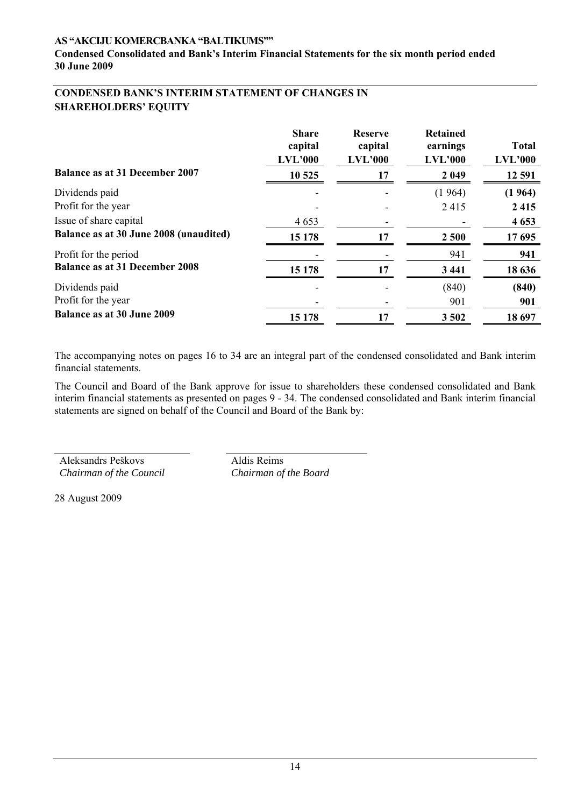**Condensed Consolidated and Bank's Interim Financial Statements for the six month period ended 30 June 2009** 

# **CONDENSED BANK'S INTERIM STATEMENT OF CHANGES IN SHAREHOLDERS' EQUITY**

| <b>Balance as at 31 December 2007</b>  | <b>Share</b><br>capital<br>LVL'000<br>10 525 | <b>Reserve</b><br>capital<br>LVL'000<br>17 | <b>Retained</b><br>earnings<br>LVL'000<br>2 0 4 9 | <b>Total</b><br>LVL'000<br>12 591 |
|----------------------------------------|----------------------------------------------|--------------------------------------------|---------------------------------------------------|-----------------------------------|
| Dividends paid                         | $\overline{\phantom{a}}$                     |                                            | (1964)                                            | (1964)                            |
| Profit for the year                    |                                              |                                            | 2415                                              | 2 4 1 5                           |
| Issue of share capital                 | 4 6 5 3                                      |                                            |                                                   | 4 6 5 3                           |
| Balance as at 30 June 2008 (unaudited) | 15 178                                       | 17                                         | 2 500                                             | 17 695                            |
| Profit for the period                  |                                              |                                            | 941                                               | 941                               |
| <b>Balance as at 31 December 2008</b>  | 15 178                                       | 17                                         | 3 4 4 1                                           | 18 636                            |
| Dividends paid                         |                                              |                                            | (840)                                             | (840)                             |
| Profit for the year                    |                                              |                                            | 901                                               | 901                               |
| <b>Balance as at 30 June 2009</b>      | 15 178                                       | 17                                         | 3 5 0 2                                           | 18 697                            |

The accompanying notes on pages 16 to 34 are an integral part of the condensed consolidated and Bank interim financial statements.

The Council and Board of the Bank approve for issue to shareholders these condensed consolidated and Bank interim financial statements as presented on pages 9 - 34. The condensed consolidated and Bank interim financial statements are signed on behalf of the Council and Board of the Bank by:

Aleksandrs Peškovs *Chairman of the Council*  Aldis Reims *Chairman of the Board*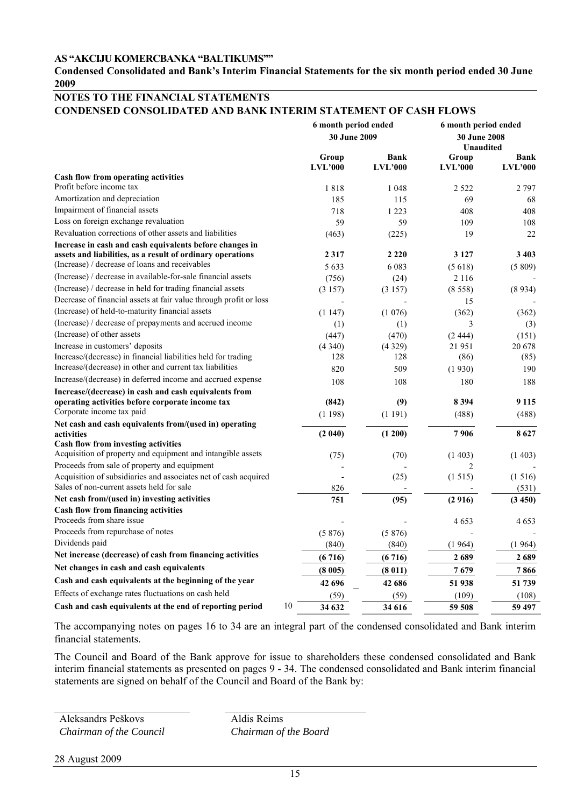#### **Condensed Consolidated and Bank's Interim Financial Statements for the six month period ended 30 June 2009**

## **NOTES TO THE FINANCIAL STATEMENTS CONDENSED CONSOLIDATED AND BANK INTERIM STATEMENT OF CASH FLOWS**

|                                                                                                              | 6 month period ended<br><b>30 June 2009</b> |                        | 6 month period ended<br><b>30 June 2008</b><br><b>Unaudited</b> |                        |
|--------------------------------------------------------------------------------------------------------------|---------------------------------------------|------------------------|-----------------------------------------------------------------|------------------------|
|                                                                                                              | Group<br>LVL'000                            | <b>Bank</b><br>LVL'000 | Group<br>LVL'000                                                | <b>Bank</b><br>LVL'000 |
| Cash flow from operating activities                                                                          |                                             |                        |                                                                 |                        |
| Profit before income tax                                                                                     | 1818                                        | 1 0 4 8                | 2 5 2 2                                                         | 2 7 9 7                |
| Amortization and depreciation                                                                                | 185                                         | 115                    | 69                                                              | 68                     |
| Impairment of financial assets                                                                               | 718                                         | 1 2 2 3                | 408                                                             | 408                    |
| Loss on foreign exchange revaluation                                                                         | 59                                          | 59                     | 109                                                             | 108                    |
| Revaluation corrections of other assets and liabilities                                                      | (463)                                       | (225)                  | 19                                                              | 22                     |
| Increase in cash and cash equivalents before changes in                                                      |                                             |                        |                                                                 |                        |
| assets and liabilities, as a result of ordinary operations                                                   | 2317                                        | 2 2 2 0                | 3 1 2 7                                                         | 3 4 0 3                |
| (Increase) / decrease of loans and receivables                                                               | 5 6 3 3                                     | 6 0 8 3                | (5618)                                                          | (5809)                 |
| (Increase) / decrease in available-for-sale financial assets                                                 | (756)                                       | (24)                   | 2 1 1 6                                                         |                        |
| (Increase) / decrease in held for trading financial assets                                                   | (3157)                                      | (3157)                 | (8558)                                                          | (8934)                 |
| Decrease of financial assets at fair value through profit or loss                                            |                                             |                        | 15                                                              |                        |
| (Increase) of held-to-maturity financial assets                                                              | (1147)                                      | (1076)                 | (362)                                                           | (362)                  |
| (Increase) / decrease of prepayments and accrued income                                                      | (1)                                         | (1)                    | 3                                                               | (3)                    |
| (Increase) of other assets                                                                                   | (447)                                       | (470)                  | (2.444)                                                         | (151)                  |
| Increase in customers' deposits                                                                              | (4340)                                      | (4329)                 | 21 951                                                          | 20 678                 |
| Increase/(decrease) in financial liabilities held for trading                                                | 128                                         | 128                    | (86)                                                            | (85)                   |
| Increase/(decrease) in other and current tax liabilities                                                     | 820                                         | 509                    | (1930)                                                          | 190                    |
| Increase/(decrease) in deferred income and accrued expense                                                   | 108                                         | 108                    | 180                                                             | 188                    |
| Increase/(decrease) in cash and cash equivalents from                                                        |                                             |                        |                                                                 |                        |
| operating activities before corporate income tax                                                             | (842)                                       | (9)                    | 8 3 9 4                                                         | 9 1 1 5                |
| Corporate income tax paid                                                                                    | (1198)                                      | (1191)                 | (488)                                                           | (488)                  |
| Net cash and cash equivalents from/(used in) operating                                                       |                                             |                        |                                                                 |                        |
| activities                                                                                                   | (2040)                                      | (1 200)                | 7906                                                            | 8627                   |
| Cash flow from investing activities                                                                          |                                             |                        |                                                                 |                        |
| Acquisition of property and equipment and intangible assets                                                  | (75)                                        | (70)                   | (1403)                                                          | (1403)                 |
| Proceeds from sale of property and equipment                                                                 |                                             |                        | $\overline{2}$                                                  |                        |
| Acquisition of subsidiaries and associates net of cash acquired<br>Sales of non-current assets held for sale |                                             | (25)                   | (1515)                                                          | (1516)                 |
| Net cash from/(used in) investing activities                                                                 | 826                                         |                        |                                                                 | (531)                  |
| <b>Cash flow from financing activities</b>                                                                   | 751                                         | (95)                   | (2916)                                                          | (3450)                 |
| Proceeds from share issue                                                                                    |                                             |                        | 4653                                                            | 4653                   |
| Proceeds from repurchase of notes                                                                            | (5876)                                      | (5876)                 |                                                                 |                        |
| Dividends paid                                                                                               |                                             |                        |                                                                 |                        |
| Net increase (decrease) of cash from financing activities                                                    | (840)                                       | (840)                  | (1964)                                                          | (1964)                 |
|                                                                                                              | (6716)                                      | (6716)                 | 2689                                                            | 2689                   |
| Net changes in cash and cash equivalents                                                                     | (8005)                                      | (8011)                 | 7679                                                            | 7866                   |
| Cash and cash equivalents at the beginning of the year                                                       | 42 696                                      | 42 686                 | 51 938                                                          | 51 739                 |
| Effects of exchange rates fluctuations on cash held                                                          | (59)                                        | (59)                   | (109)                                                           | (108)                  |
| 10<br>Cash and cash equivalents at the end of reporting period                                               | 34 632                                      | 34 616                 | 59 508                                                          | 59 497                 |

The accompanying notes on pages 16 to 34 are an integral part of the condensed consolidated and Bank interim financial statements.

The Council and Board of the Bank approve for issue to shareholders these condensed consolidated and Bank interim financial statements as presented on pages 9 - 34. The condensed consolidated and Bank interim financial statements are signed on behalf of the Council and Board of the Bank by:

Aleksandrs Peškovs *Chairman of the Council*  Aldis Reims *Chairman of the Board*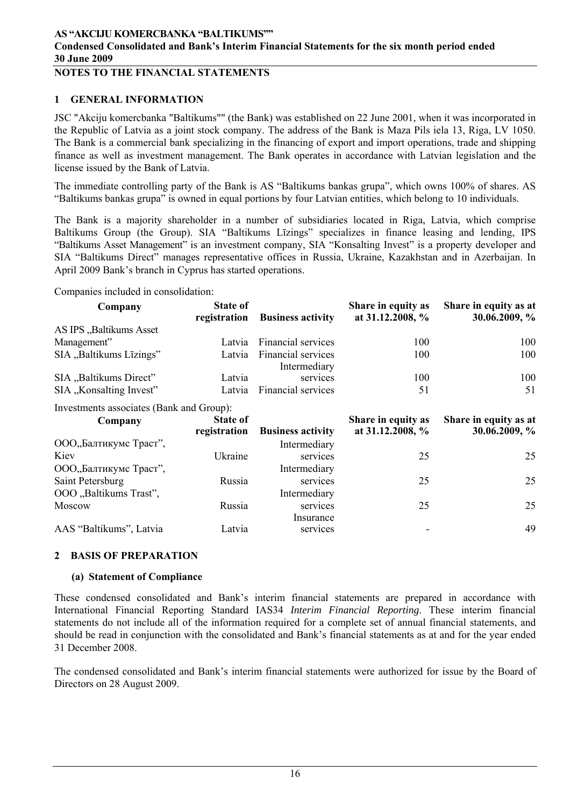## **NOTES TO THE FINANCIAL STATEMENTS**

## **1 GENERAL INFORMATION**

JSC "Akciju komercbanka "Baltikums"" (the Bank) was established on 22 June 2001, when it was incorporated in the Republic of Latvia as a joint stock company. The address of the Bank is Maza Pils iela 13, Riga, LV 1050. The Bank is a commercial bank specializing in the financing of export and import operations, trade and shipping finance as well as investment management. The Bank operates in accordance with Latvian legislation and the license issued by the Bank of Latvia.

The immediate controlling party of the Bank is AS "Baltikums bankas grupa", which owns 100% of shares. AS "Baltikums bankas grupa" is owned in equal portions by four Latvian entities, which belong to 10 individuals.

The Bank is a majority shareholder in a number of subsidiaries located in Riga, Latvia, which comprise Baltikums Group (the Group). SIA "Baltikums Līzings" specializes in finance leasing and lending, IPS "Baltikums Asset Management" is an investment company, SIA "Konsalting Invest" is a property developer and SIA "Baltikums Direct" manages representative offices in Russia, Ukraine, Kazakhstan and in Azerbaijan. In April 2009 Bank's branch in Cyprus has started operations.

Companies included in consolidation:

| Company                                  | <b>State of</b><br>registration | <b>Business activity</b>           | Share in equity as<br>at 31.12.2008, % | Share in equity as at<br>30.06.2009, % |
|------------------------------------------|---------------------------------|------------------------------------|----------------------------------------|----------------------------------------|
| AS IPS "Baltikums Asset                  |                                 |                                    |                                        |                                        |
| Management"                              | Latvia                          | Financial services                 | 100                                    | 100                                    |
| SIA "Baltikums Līzings"                  | Latvia                          | Financial services<br>Intermediary | 100                                    | 100                                    |
| SIA "Baltikums Direct"                   | Latvia                          | services                           | 100                                    | 100                                    |
| SIA "Konsalting Invest"                  | Latvia                          | <b>Financial services</b>          | 51                                     | 51                                     |
| Investments associates (Bank and Group): |                                 |                                    |                                        |                                        |
| Company                                  | <b>State of</b><br>registration | <b>Business activity</b>           | Share in equity as<br>at 31.12.2008, % | Share in equity as at<br>30.06.2009, % |
| ООО"Балтикумс Траст",                    |                                 | Intermediary                       |                                        |                                        |
| Kiev                                     | Ukraine                         | services                           | 25                                     | 25                                     |
| ООО"Балтикумс Траст",                    |                                 | Intermediary                       |                                        |                                        |
| Saint Petersburg                         | Russia                          | services                           | 25                                     | 25                                     |
| OOO "Baltikums Trast",                   |                                 | Intermediary                       |                                        |                                        |
| Moscow                                   | Russia                          | services                           | 25                                     | 25                                     |
| AAS "Baltikums", Latvia                  | Latvia                          | Insurance<br>services              |                                        | 49                                     |

### **2 BASIS OF PREPARATION**

### **(a) Statement of Compliance**

These condensed consolidated and Bank's interim financial statements are prepared in accordance with International Financial Reporting Standard IAS34 *Interim Financial Reporting*. These interim financial statements do not include all of the information required for a complete set of annual financial statements, and should be read in conjunction with the consolidated and Bank's financial statements as at and for the year ended 31 December 2008.

The condensed consolidated and Bank's interim financial statements were authorized for issue by the Board of Directors on 28 August 2009.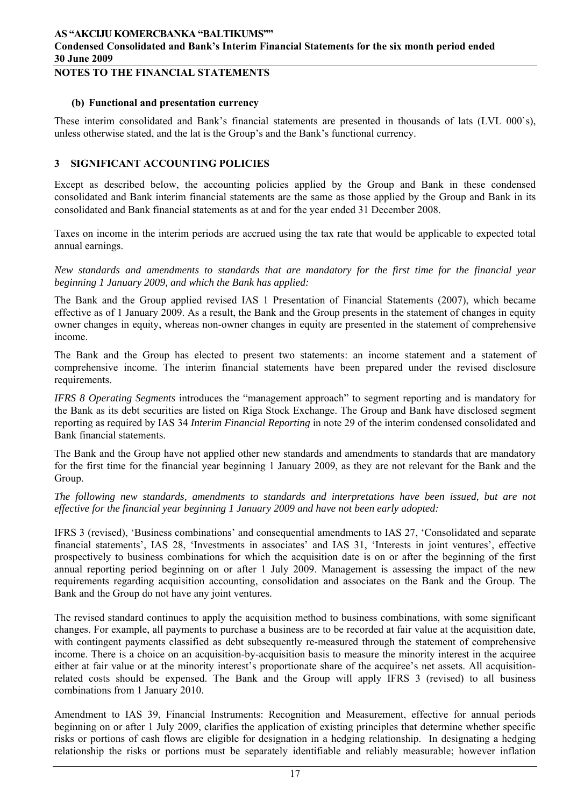## **NOTES TO THE FINANCIAL STATEMENTS**

#### **(b) Functional and presentation currency**

These interim consolidated and Bank's financial statements are presented in thousands of lats (LVL 000`s), unless otherwise stated, and the lat is the Group's and the Bank's functional currency.

### **3 SIGNIFICANT ACCOUNTING POLICIES**

Except as described below, the accounting policies applied by the Group and Bank in these condensed consolidated and Bank interim financial statements are the same as those applied by the Group and Bank in its consolidated and Bank financial statements as at and for the year ended 31 December 2008.

Taxes on income in the interim periods are accrued using the tax rate that would be applicable to expected total annual earnings.

*New standards and amendments to standards that are mandatory for the first time for the financial year beginning 1 January 2009, and which the Bank has applied:* 

The Bank and the Group applied revised IAS 1 Presentation of Financial Statements (2007), which became effective as of 1 January 2009. As a result, the Bank and the Group presents in the statement of changes in equity owner changes in equity, whereas non-owner changes in equity are presented in the statement of comprehensive income.

The Bank and the Group has elected to present two statements: an income statement and a statement of comprehensive income. The interim financial statements have been prepared under the revised disclosure requirements.

*IFRS 8 Operating Segments* introduces the "management approach" to segment reporting and is mandatory for the Bank as its debt securities are listed on Riga Stock Exchange. The Group and Bank have disclosed segment reporting as required by IAS 34 *Interim Financial Reporting* in note 29 of the interim condensed consolidated and Bank financial statements.

The Bank and the Group have not applied other new standards and amendments to standards that are mandatory for the first time for the financial year beginning 1 January 2009, as they are not relevant for the Bank and the Group.

*The following new standards, amendments to standards and interpretations have been issued, but are not effective for the financial year beginning 1 January 2009 and have not been early adopted:* 

IFRS 3 (revised), 'Business combinations' and consequential amendments to IAS 27, 'Consolidated and separate financial statements', IAS 28, 'Investments in associates' and IAS 31, 'Interests in joint ventures', effective prospectively to business combinations for which the acquisition date is on or after the beginning of the first annual reporting period beginning on or after 1 July 2009. Management is assessing the impact of the new requirements regarding acquisition accounting, consolidation and associates on the Bank and the Group. The Bank and the Group do not have any joint ventures.

The revised standard continues to apply the acquisition method to business combinations, with some significant changes. For example, all payments to purchase a business are to be recorded at fair value at the acquisition date, with contingent payments classified as debt subsequently re-measured through the statement of comprehensive income. There is a choice on an acquisition-by-acquisition basis to measure the minority interest in the acquiree either at fair value or at the minority interest's proportionate share of the acquiree's net assets. All acquisitionrelated costs should be expensed. The Bank and the Group will apply IFRS 3 (revised) to all business combinations from 1 January 2010.

Amendment to IAS 39, Financial Instruments: Recognition and Measurement, effective for annual periods beginning on or after 1 July 2009, clarifies the application of existing principles that determine whether specific risks or portions of cash flows are eligible for designation in a hedging relationship. In designating a hedging relationship the risks or portions must be separately identifiable and reliably measurable; however inflation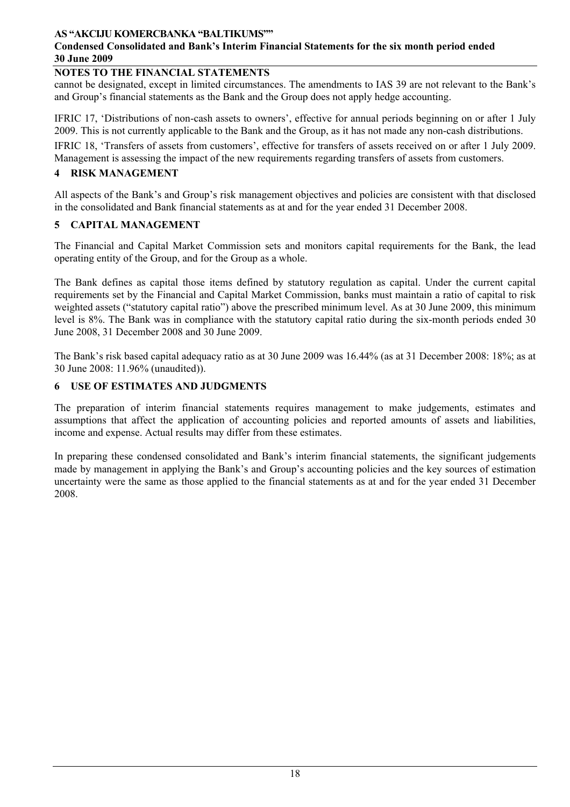## **Condensed Consolidated and Bank's Interim Financial Statements for the six month period ended 30 June 2009**

## **NOTES TO THE FINANCIAL STATEMENTS**

cannot be designated, except in limited circumstances. The amendments to IAS 39 are not relevant to the Bank's and Group's financial statements as the Bank and the Group does not apply hedge accounting.

IFRIC 17, 'Distributions of non-cash assets to owners', effective for annual periods beginning on or after 1 July 2009. This is not currently applicable to the Bank and the Group, as it has not made any non-cash distributions.

IFRIC 18, 'Transfers of assets from customers', effective for transfers of assets received on or after 1 July 2009. Management is assessing the impact of the new requirements regarding transfers of assets from customers.

## **4 RISK MANAGEMENT**

All aspects of the Bank's and Group's risk management objectives and policies are consistent with that disclosed in the consolidated and Bank financial statements as at and for the year ended 31 December 2008.

### **5 CAPITAL MANAGEMENT**

The Financial and Capital Market Commission sets and monitors capital requirements for the Bank, the lead operating entity of the Group, and for the Group as a whole.

The Bank defines as capital those items defined by statutory regulation as capital. Under the current capital requirements set by the Financial and Capital Market Commission, banks must maintain a ratio of capital to risk weighted assets ("statutory capital ratio") above the prescribed minimum level. As at 30 June 2009, this minimum level is 8%. The Bank was in compliance with the statutory capital ratio during the six-month periods ended 30 June 2008, 31 December 2008 and 30 June 2009.

The Bank's risk based capital adequacy ratio as at 30 June 2009 was 16.44% (as at 31 December 2008: 18%; as at 30 June 2008: 11.96% (unaudited)).

### **6 USE OF ESTIMATES AND JUDGMENTS**

The preparation of interim financial statements requires management to make judgements, estimates and assumptions that affect the application of accounting policies and reported amounts of assets and liabilities, income and expense. Actual results may differ from these estimates.

In preparing these condensed consolidated and Bank's interim financial statements, the significant judgements made by management in applying the Bank's and Group's accounting policies and the key sources of estimation uncertainty were the same as those applied to the financial statements as at and for the year ended 31 December 2008.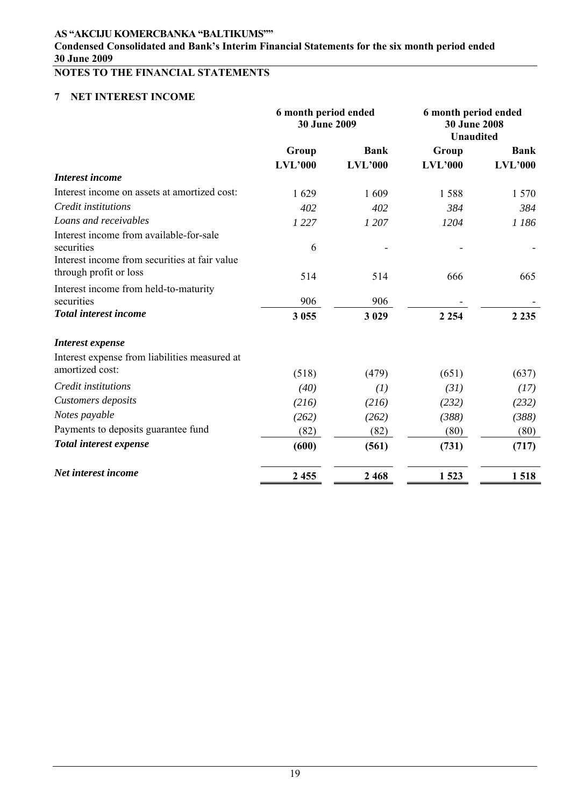**Condensed Consolidated and Bank's Interim Financial Statements for the six month period ended 30 June 2009** 

# **NOTES TO THE FINANCIAL STATEMENTS**

# **7 NET INTEREST INCOME**

|                                               | 6 month period ended<br>30 June 2009 |             | 6 month period ended<br><b>30 June 2008</b><br><b>Unaudited</b> |             |
|-----------------------------------------------|--------------------------------------|-------------|-----------------------------------------------------------------|-------------|
|                                               | Group                                | <b>Bank</b> | Group                                                           | <b>Bank</b> |
|                                               | <b>LVL'000</b>                       | LVL'000     | LVL'000                                                         | LVL'000     |
| <b>Interest income</b>                        |                                      |             |                                                                 |             |
| Interest income on assets at amortized cost:  | 1629                                 | 1609        | 1588                                                            | 1 570       |
| Credit institutions                           | 402                                  | 402         | 384                                                             | 384         |
| Loans and receivables                         | 1 2 2 7                              | 1 207       | 1204                                                            | 1 186       |
| Interest income from available-for-sale       |                                      |             |                                                                 |             |
| securities                                    | 6                                    |             |                                                                 |             |
| Interest income from securities at fair value |                                      |             |                                                                 |             |
| through profit or loss                        | 514                                  | 514         | 666                                                             | 665         |
| Interest income from held-to-maturity         |                                      |             |                                                                 |             |
| securities                                    | 906                                  | 906         |                                                                 |             |
| <b>Total interest income</b>                  | 3 0 5 5                              | 3 0 29      | 2 2 5 4                                                         | 2 2 3 5     |
| Interest expense                              |                                      |             |                                                                 |             |
| Interest expense from liabilities measured at |                                      |             |                                                                 |             |
| amortized cost:                               | (518)                                | (479)       | (651)                                                           | (637)       |
| Credit institutions                           | (40)                                 | (1)         | (31)                                                            | (17)        |
| Customers deposits                            | (216)                                | (216)       | (232)                                                           | (232)       |
| Notes payable                                 | (262)                                | (262)       | (388)                                                           | (388)       |
| Payments to deposits guarantee fund           | (82)                                 | (82)        | (80)                                                            | (80)        |
| <b>Total interest expense</b>                 | (600)                                | (561)       | (731)                                                           | (717)       |
| Net interest income                           | 2 4 5 5                              | 2468        | 1523                                                            | 1518        |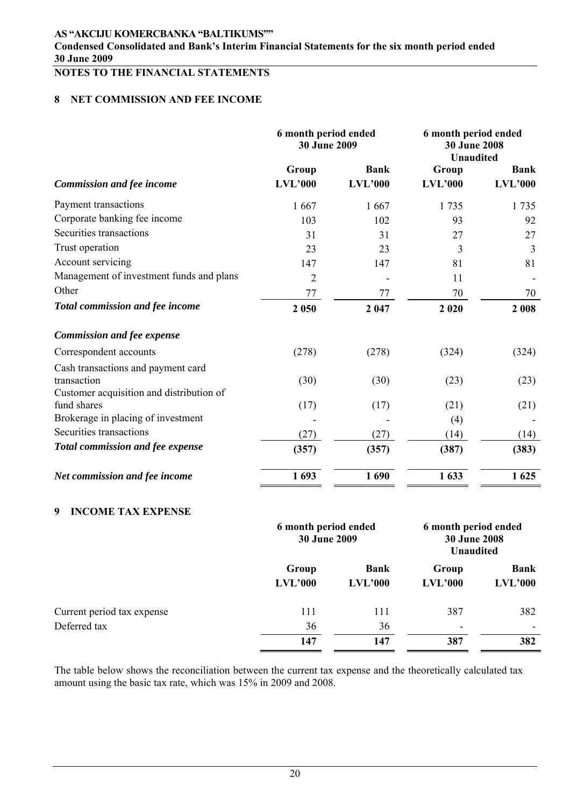**Condensed Consolidated and Bank's Interim Financial Statements for the six month period ended 30 June 2009** 

# **NOTES TO THE FINANCIAL STATEMENTS**

## **8 NET COMMISSION AND FEE INCOME**

|                                          | 6 month period ended<br>30 June 2009 |                               | 6 month period ended<br><b>30 June 2008</b><br><b>Unaudited</b> |                               |  |
|------------------------------------------|--------------------------------------|-------------------------------|-----------------------------------------------------------------|-------------------------------|--|
| <b>Commission and fee income</b>         | Group<br>LVL'000                     | <b>Bank</b><br><b>LVL'000</b> | Group<br>LVL'000                                                | <b>Bank</b><br><b>LVL'000</b> |  |
| Payment transactions                     | 1667                                 | 1667                          | 1 7 3 5                                                         | 1735                          |  |
| Corporate banking fee income             | 103                                  | 102                           | 93                                                              | 92                            |  |
| Securities transactions                  | 31                                   | 31                            | 27                                                              | 27                            |  |
| Trust operation                          | 23                                   | 23                            | 3                                                               | 3                             |  |
| Account servicing                        | 147                                  | 147                           | 81                                                              | 81                            |  |
| Management of investment funds and plans | $\overline{2}$                       |                               | 11                                                              |                               |  |
| Other                                    | 77                                   | 77                            | 70                                                              | 70                            |  |
| Total commission and fee income          | 2 0 5 0                              | 2 047                         | 2 0 2 0                                                         | 2 0 0 8                       |  |
| <b>Commission and fee expense</b>        |                                      |                               |                                                                 |                               |  |
| Correspondent accounts                   | (278)                                | (278)                         | (324)                                                           | (324)                         |  |
| Cash transactions and payment card       |                                      |                               |                                                                 |                               |  |
| transaction                              | (30)                                 | (30)                          | (23)                                                            | (23)                          |  |
| Customer acquisition and distribution of |                                      |                               |                                                                 |                               |  |
| fund shares                              | (17)                                 | (17)                          | (21)                                                            | (21)                          |  |
| Brokerage in placing of investment       |                                      |                               | (4)                                                             |                               |  |
| Securities transactions                  | (27)                                 | (27)                          | (14)                                                            | (14)                          |  |
| Total commission and fee expense         | (357)                                | (357)                         | (387)                                                           | (383)                         |  |
| Net commission and fee income            | 1693                                 | 1690                          | 1633                                                            | 1 625                         |  |

### **9 INCOME TAX EXPENSE**

|                            | 6 month period ended<br><b>30 June 2009</b> |                        | 6 month period ended<br><b>30 June 2008</b><br><b>Unaudited</b> |                        |
|----------------------------|---------------------------------------------|------------------------|-----------------------------------------------------------------|------------------------|
|                            | Group<br>LVL'000                            | <b>Bank</b><br>LVL'000 | Group<br>LVL'000                                                | <b>Bank</b><br>LVL'000 |
| Current period tax expense | 111                                         | 111                    | 387                                                             | 382                    |
| Deferred tax               | 36                                          | 36                     | $\overline{\phantom{a}}$                                        |                        |
|                            | 147                                         | 147                    | 387                                                             | 382                    |

The table below shows the reconciliation between the current tax expense and the theoretically calculated tax amount using the basic tax rate, which was 15% in 2009 and 2008.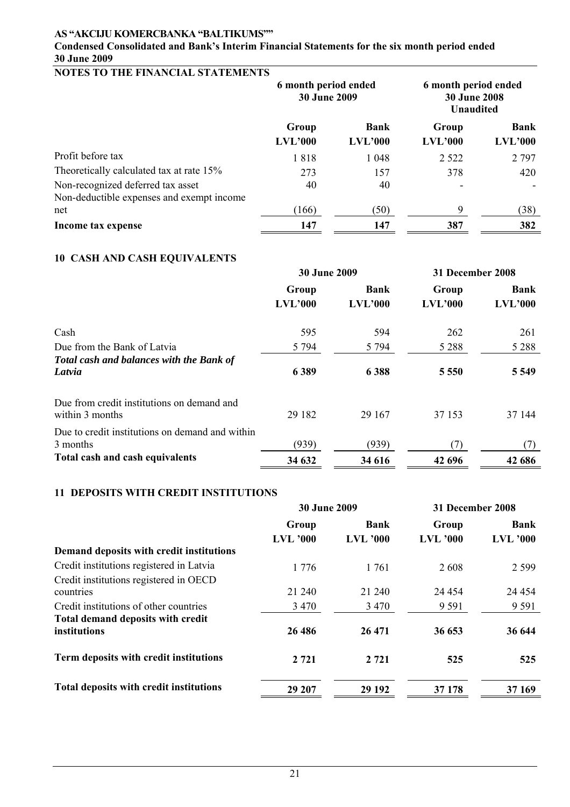# **Condensed Consolidated and Bank's Interim Financial Statements for the six month period ended 30 June 2009**

## **NOTES TO THE FINANCIAL STATEMENTS**

|                                                                                | 6 month period ended<br><b>30 June 2009</b> |                        | 6 month period ended<br><b>30 June 2008</b><br><b>Unaudited</b> |                        |
|--------------------------------------------------------------------------------|---------------------------------------------|------------------------|-----------------------------------------------------------------|------------------------|
|                                                                                | Group<br>LVL'000                            | <b>Bank</b><br>LVL'000 | Group<br>LVL'000                                                | <b>Bank</b><br>LVL'000 |
| Profit before tax                                                              | 1818                                        | 1 0 4 8                | 2 5 2 2                                                         | 2 7 9 7                |
| Theoretically calculated tax at rate 15%                                       | 273                                         | 157                    | 378                                                             | 420                    |
| Non-recognized deferred tax asset<br>Non-deductible expenses and exempt income | 40                                          | 40                     |                                                                 |                        |
| net                                                                            | (166)                                       | (50)                   | 9                                                               | (38)                   |
| Income tax expense                                                             | 147                                         | 147                    | 387                                                             | 382                    |

## **10 CASH AND CASH EQUIVALENTS**

|                                                               | <b>30 June 2009</b> |                        | 31 December 2008 |                        |
|---------------------------------------------------------------|---------------------|------------------------|------------------|------------------------|
|                                                               | Group<br>LVL'000    | <b>Bank</b><br>LVL'000 | Group<br>LVL'000 | <b>Bank</b><br>LVL'000 |
| Cash                                                          | 595                 | 594                    | 262              | 261                    |
| Due from the Bank of Latvia                                   | 5 7 9 4             | 5 7 9 4                | 5 2 8 8          | 5 2 8 8                |
| Total cash and balances with the Bank of<br>Latvia            | 6 3 8 9             | 6388                   | 5 5 5 0          | 5 5 4 9                |
| Due from credit institutions on demand and<br>within 3 months | 29 182              | 29 167                 | 37 153           | 37 144                 |
| Due to credit institutions on demand and within<br>3 months   | (939)               | (939)                  | (7)              | (7)                    |
| Total cash and cash equivalents                               | 34 632              | 34 616                 | 42 696           | 42 686                 |

### **11 DEPOSITS WITH CREDIT INSTITUTIONS**

|                                          | <b>30 June 2009</b> |                 | 31 December 2008 |                 |  |
|------------------------------------------|---------------------|-----------------|------------------|-----------------|--|
|                                          | Group               | <b>Bank</b>     | Group            | <b>Bank</b>     |  |
|                                          | <b>LVL</b> '000     | <b>LVL</b> '000 | <b>LVL</b> '000  | <b>LVL</b> '000 |  |
| Demand deposits with credit institutions |                     |                 |                  |                 |  |
| Credit institutions registered in Latvia | 1776                | 1761            | 2608             | 2 5 9 9         |  |
| Credit institutions registered in OECD   |                     |                 |                  |                 |  |
| countries                                | 21 240              | 21 240          | 24 4 54          | 24 4 5 4        |  |
| Credit institutions of other countries   | 3 4 7 0             | 3 4 7 0         | 9 5 9 1          | 9 5 9 1         |  |
| Total demand deposits with credit        |                     |                 |                  |                 |  |
| institutions                             | 26 48 6             | 26 471          | 36 653           | 36 644          |  |
| Term deposits with credit institutions   | 2 7 2 1             | 2 7 2 1         | 525              | 525             |  |
| Total deposits with credit institutions  | 29 207              | 29 19 2         | 37 178           | 37 169          |  |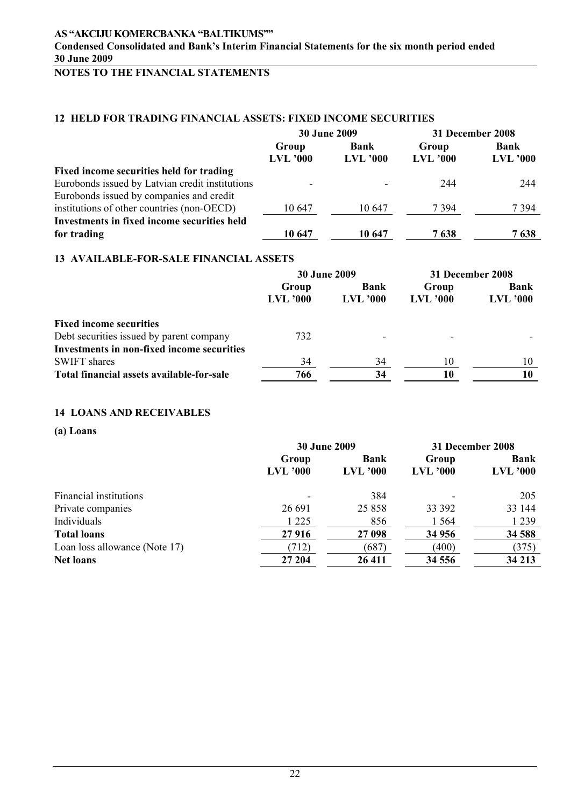# **NOTES TO THE FINANCIAL STATEMENTS**

# **12 HELD FOR TRADING FINANCIAL ASSETS: FIXED INCOME SECURITIES**

|                                                    | 30 June 2009             |            | 31 December 2008 |                 |  |
|----------------------------------------------------|--------------------------|------------|------------------|-----------------|--|
|                                                    | Group                    | Bank       | Group            | <b>Bank</b>     |  |
|                                                    | <b>LVL '000</b>          | $LVL$ '000 | $LVL$ '000       | <b>LVL</b> '000 |  |
| Fixed income securities held for trading           |                          |            |                  |                 |  |
| Eurobonds issued by Latvian credit institutions    | $\overline{\phantom{0}}$ |            | 244              | 244             |  |
| Eurobonds issued by companies and credit           |                          |            |                  |                 |  |
| institutions of other countries (non-OECD)         | 10 647                   | 10.647     | 7 3 9 4          | 7 394           |  |
| <b>Investments in fixed income securities held</b> |                          |            |                  |                 |  |
| for trading                                        | 10 647                   | 10 647     | 7638             | 7638            |  |

### **13 AVAILABLE-FOR-SALE FINANCIAL ASSETS**

|                                            |                     | <b>30 June 2009</b>     | 31 December 2008         |                           |  |
|--------------------------------------------|---------------------|-------------------------|--------------------------|---------------------------|--|
|                                            | Group<br>$LVL$ '000 | Bank<br><b>LVL '000</b> | Group<br><b>LVL '000</b> | <b>Bank</b><br>$LVL$ '000 |  |
| <b>Fixed income securities</b>             |                     |                         |                          |                           |  |
| Debt securities issued by parent company   | 732                 |                         |                          |                           |  |
| Investments in non-fixed income securities |                     |                         |                          |                           |  |
| <b>SWIFT</b> shares                        | 34                  | 34                      | 10                       | 10                        |  |
| Total financial assets available-for-sale  | 766                 | 34                      | 10                       |                           |  |

#### **14 LOANS AND RECEIVABLES**

#### **(a) Loans**

|                               |            | <b>30 June 2009</b> | 31 December 2008 |             |  |
|-------------------------------|------------|---------------------|------------------|-------------|--|
|                               | Group      | Bank                | Group            | <b>Bank</b> |  |
|                               | $LVL$ '000 | $LVL$ '000          | $LVL$ '000       | $LVL$ '000  |  |
| Financial institutions        |            | 384                 |                  | 205         |  |
| Private companies             | 26 691     | 25 858              | 33 392           | 33 144      |  |
| Individuals                   | 1 2 2 5    | 856                 | 1 5 6 4          | 1 2 3 9     |  |
| <b>Total loans</b>            | 27916      | 27 098              | 34 956           | 34 588      |  |
| Loan loss allowance (Note 17) | (712)      | (687)               | (400)            | (375)       |  |
| <b>Net loans</b>              | 27 204     | 26 411              | 34 5 5 6         | 34 213      |  |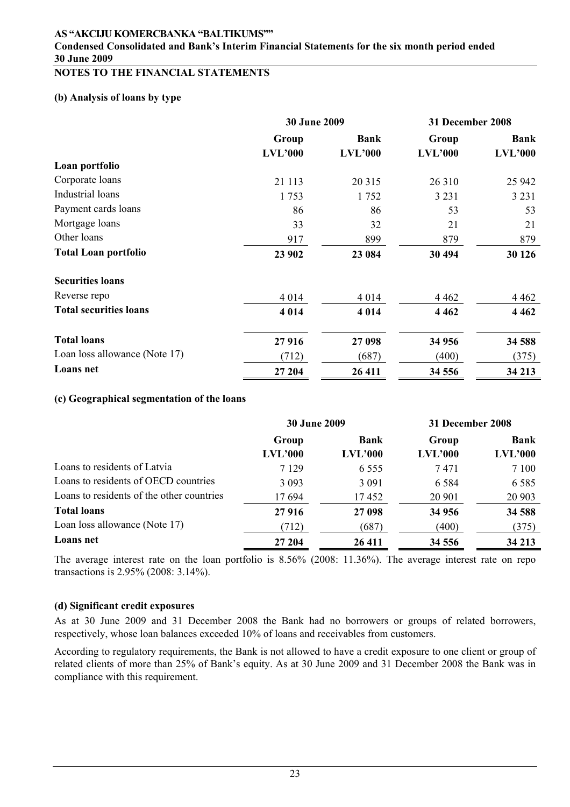### **Condensed Consolidated and Bank's Interim Financial Statements for the six month period ended 30 June 2009**

## **NOTES TO THE FINANCIAL STATEMENTS**

## **(b) Analysis of loans by type**

|                               | <b>30 June 2009</b> |             | 31 December 2008 |             |  |
|-------------------------------|---------------------|-------------|------------------|-------------|--|
|                               | Group               | <b>Bank</b> | Group            | <b>Bank</b> |  |
|                               | LVL'000             | LVL'000     | $LVL$ '000       | LVL'000     |  |
| Loan portfolio                |                     |             |                  |             |  |
| Corporate loans               | 21 113              | 20 315      | 26 310           | 25 942      |  |
| Industrial loans              | 1753                | 1752        | 3 2 3 1          | 3 2 3 1     |  |
| Payment cards loans           | 86                  | 86          | 53               | 53          |  |
| Mortgage loans                | 33                  | 32          | 21               | 21          |  |
| Other loans                   | 917                 | 899         | 879              | 879         |  |
| <b>Total Loan portfolio</b>   | 23 902              | 23 084      | 30 494           | 30 1 26     |  |
| <b>Securities loans</b>       |                     |             |                  |             |  |
| Reverse repo                  | 4 0 1 4             | 4 0 1 4     | 4 4 6 2          | 4 4 6 2     |  |
| <b>Total securities loans</b> | 4 0 1 4             | 4 0 1 4     | 4 4 6 2          | 4 4 6 2     |  |
| <b>Total loans</b>            | 27916               | 27 098      | 34 956           | 34 588      |  |
| Loan loss allowance (Note 17) | (712)               | (687)       | (400)            | (375)       |  |
| Loans net                     | 27 204              | 26 411      | 34 556           | 34 213      |  |

#### **(c) Geographical segmentation of the loans**

|                                           | <b>30 June 2009</b> |         | 31 December 2008 |             |  |
|-------------------------------------------|---------------------|---------|------------------|-------------|--|
|                                           | Group               | Bank    | Group            | <b>Bank</b> |  |
|                                           | LVL'000             | LVL'000 | LVL'000          | LVL'000     |  |
| Loans to residents of Latvia              | 7 1 2 9             | 6 5 5 5 | 7471             | 7 1 0 0     |  |
| Loans to residents of OECD countries      | 3 0 9 3             | 3 0 9 1 | 6 5 8 4          | 6 5 8 5     |  |
| Loans to residents of the other countries | 17694               | 17452   | 20 901           | 20 903      |  |
| <b>Total loans</b>                        | 27916               | 27 098  | 34 956           | 34 588      |  |
| Loan loss allowance (Note 17)             | (712)               | (687)   | (400)            | (375)       |  |
| Loans net                                 | 27 204              | 26 411  | 34 5 5 6         | 34 213      |  |

The average interest rate on the loan portfolio is 8.56% (2008: 11.36%). The average interest rate on repo transactions is 2.95% (2008: 3.14%).

#### **(d) Significant credit exposures**

As at 30 June 2009 and 31 December 2008 the Bank had no borrowers or groups of related borrowers, respectively, whose loan balances exceeded 10% of loans and receivables from customers.

According to regulatory requirements, the Bank is not allowed to have a credit exposure to one client or group of related clients of more than 25% of Bank's equity. As at 30 June 2009 and 31 December 2008 the Bank was in compliance with this requirement.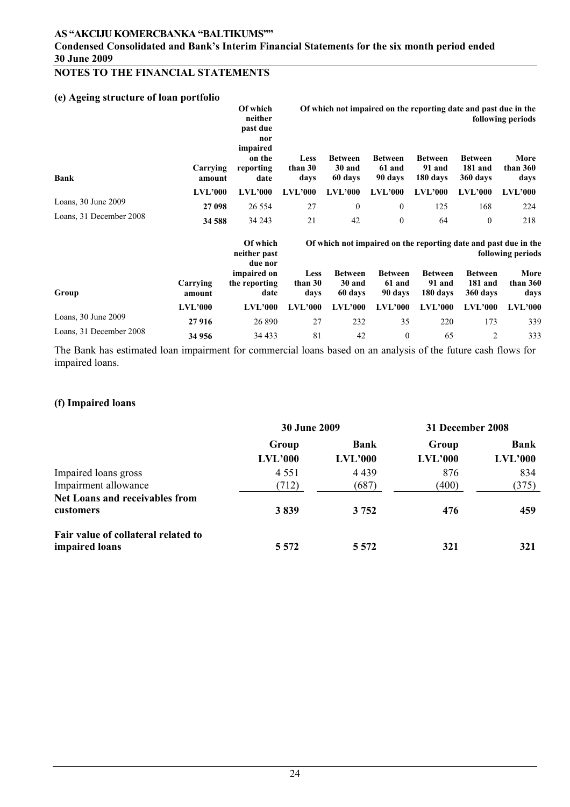**Condensed Consolidated and Bank's Interim Financial Statements for the six month period ended 30 June 2009** 

# **NOTES TO THE FINANCIAL STATEMENTS**

## **(e) Ageing structure of loan portfolio**

|                         |                    | Of which<br>neither<br>past due<br>nor<br>impaired |                                | Of which not impaired on the reporting date and past due in the<br>following periods |                                      |                                              |                          |                |
|-------------------------|--------------------|----------------------------------------------------|--------------------------------|--------------------------------------------------------------------------------------|--------------------------------------|----------------------------------------------|--------------------------|----------------|
| <b>Bank</b>             | Carrying<br>amount | on the<br>reporting<br>date                        | <b>Less</b><br>than 30<br>davs | <b>Between</b><br><b>Between</b><br>30 and<br>61 and<br>60 days<br>90 days           | <b>Between</b><br>91 and<br>180 days | <b>Between</b><br><b>181 and</b><br>360 days | More<br>than 360<br>days |                |
|                         | <b>LVL'000</b>     | LVL'000                                            | <b>LVL'000</b>                 | <b>LVL'000</b>                                                                       | LVL'000                              | <b>LVL'000</b>                               | <b>LVL'000</b>           | <b>LVL'000</b> |
| Loans, $30$ June $2009$ | 27 098             | 26 5 5 4                                           | 27                             | $\Omega$                                                                             | $\overline{0}$                       | 125                                          | 168                      | 224            |
| Loans, 31 December 2008 | 34 588             | 34 243                                             | 21                             | 42                                                                                   | $\theta$                             | 64                                           | 0                        | 218            |

|                         |                    | Of which<br>neither past<br>due nor  | Of which not impaired on the reporting date and past due in the<br>following periods |                                     |                                     |                                      |                                              |                            |
|-------------------------|--------------------|--------------------------------------|--------------------------------------------------------------------------------------|-------------------------------------|-------------------------------------|--------------------------------------|----------------------------------------------|----------------------------|
| Group                   | Carrying<br>amount | impaired on<br>the reporting<br>date | <b>Less</b><br>than 30<br>davs                                                       | <b>Between</b><br>30 and<br>60 days | <b>Between</b><br>61 and<br>90 days | <b>Between</b><br>91 and<br>180 davs | <b>Between</b><br><b>181 and</b><br>360 days | More<br>than $360$<br>davs |
|                         | LVL'000            | <b>LVL'000</b>                       | <b>LVL'000</b>                                                                       | <b>LVL'000</b>                      | <b>LVL'000</b>                      | <b>LVL'000</b>                       | <b>LVL'000</b>                               | <b>LVL'000</b>             |
| Loans, $30$ June $2009$ | 27916              | 26 890                               | 27                                                                                   | 232                                 | 35                                  | 220                                  | 173                                          | 339                        |
| Loans, 31 December 2008 | 34 956             | 34 4 33                              | 81                                                                                   | 42                                  | $\theta$                            | 65                                   |                                              | 333                        |

The Bank has estimated loan impairment for commercial loans based on an analysis of the future cash flows for impaired loans.

#### **(f) Impaired loans**

|                                                       | <b>30 June 2009</b> |                        | 31 December 2008 |                        |
|-------------------------------------------------------|---------------------|------------------------|------------------|------------------------|
|                                                       | Group<br>LVL'000    | <b>Bank</b><br>LVL'000 | Group<br>LVL'000 | <b>Bank</b><br>LVL'000 |
| Impaired loans gross                                  | 4 5 5 1             | 4 4 3 9                | 876              | 834                    |
| Impairment allowance                                  | (712)               | (687)                  | (400)            | (375)                  |
| <b>Net Loans and receivables from</b><br>customers    | 3839                | 3 7 5 2                | 476              | 459                    |
| Fair value of collateral related to<br>impaired loans | 5 5 7 2             | 5 5 7 2                | 321              | 321                    |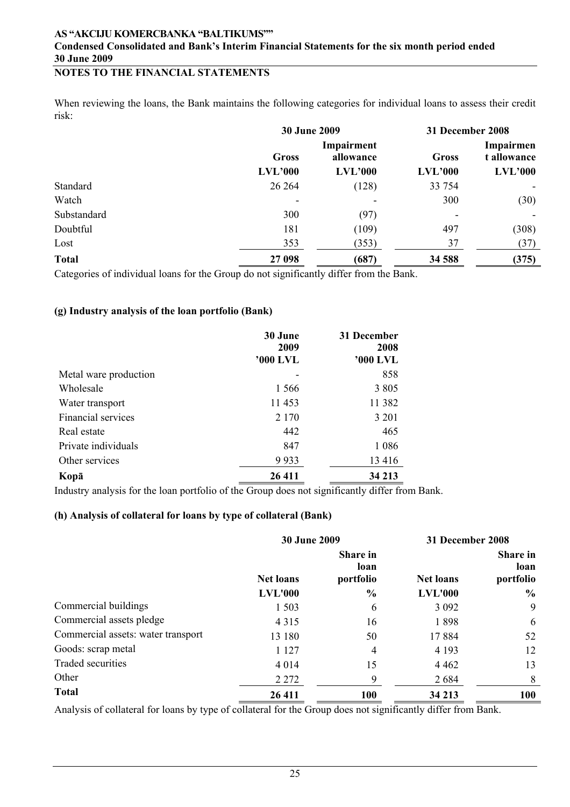## **NOTES TO THE FINANCIAL STATEMENTS**

When reviewing the loans, the Bank maintains the following categories for individual loans to assess their credit risk:

|              | 30 June 2009                            |         | 31 December 2008                  |         |  |
|--------------|-----------------------------------------|---------|-----------------------------------|---------|--|
|              | Impairment<br><b>Gross</b><br>allowance |         | Impairmen<br>t allowance<br>Gross |         |  |
|              | LVL'000                                 | LVL'000 | LVL'000                           | LVL'000 |  |
| Standard     | 26 264                                  | (128)   | 33 754                            |         |  |
| Watch        | $\overline{\phantom{a}}$                |         | 300                               | (30)    |  |
| Substandard  | 300                                     | (97)    |                                   |         |  |
| Doubtful     | 181                                     | (109)   | 497                               | (308)   |  |
| Lost         | 353                                     | (353)   | 37                                | (37)    |  |
| <b>Total</b> | 27 098                                  | (687)   | 34 588                            | (375)   |  |

Categories of individual loans for the Group do not significantly differ from the Bank.

### **(g) Industry analysis of the loan portfolio (Bank)**

|                       | 30 June<br>2009<br>'000 LVL | 31 December<br>2008<br>'000 LVL |
|-----------------------|-----------------------------|---------------------------------|
| Metal ware production |                             | 858                             |
| Wholesale             | 1 5 6 6                     | 3 8 0 5                         |
| Water transport       | 11453                       | 11 3 8 2                        |
| Financial services    | 2 1 7 0                     | 3 2 0 1                         |
| Real estate           | 442                         | 465                             |
| Private individuals   | 847                         | 1 0 8 6                         |
| Other services        | 9933                        | 13416                           |
| Kopā                  | 26 411                      | 34 213                          |

Industry analysis for the loan portfolio of the Group does not significantly differ from Bank.

### **(h) Analysis of collateral for loans by type of collateral (Bank)**

|                                    | <b>30 June 2009</b> |                               | 31 December 2008 |                                      |
|------------------------------------|---------------------|-------------------------------|------------------|--------------------------------------|
|                                    | <b>Net loans</b>    | Share in<br>loan<br>portfolio | <b>Net loans</b> | <b>Share in</b><br>loan<br>portfolio |
|                                    | <b>LVL'000</b>      | $\frac{6}{6}$                 | <b>LVL'000</b>   | $\%$                                 |
| Commercial buildings               | 1 503               | 6                             | 3 0 9 2          | 9                                    |
| Commercial assets pledge           | 4 3 1 5             | 16                            | 1898             | 6                                    |
| Commercial assets: water transport | 13 180              | 50                            | 17884            | 52                                   |
| Goods: scrap metal                 | 1 1 2 7             | 4                             | 4 1 9 3          | 12                                   |
| Traded securities                  | 4 0 1 4             | 15                            | 4 4 6 2          | 13                                   |
| Other                              | 2 2 7 2             | 9                             | 2684             | 8                                    |
| <b>Total</b>                       | 26 411              | 100                           | 34 213           | <b>100</b>                           |

Analysis of collateral for loans by type of collateral for the Group does not significantly differ from Bank.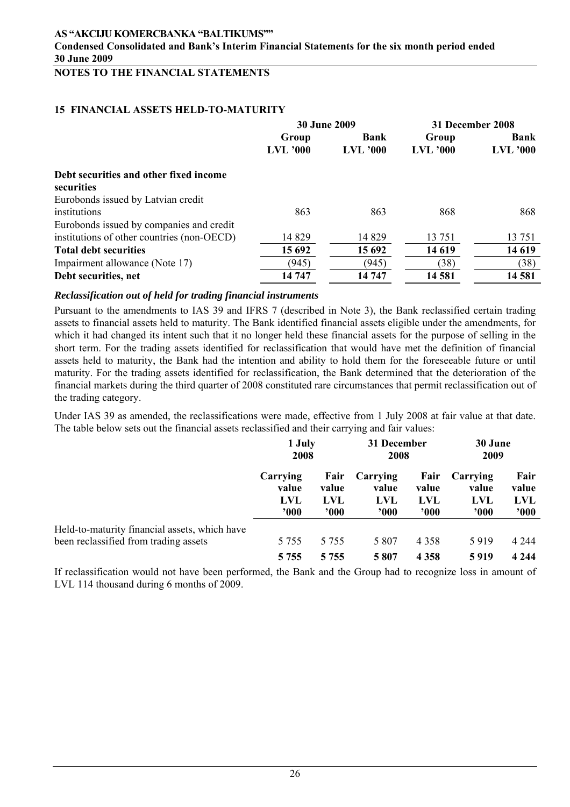**Condensed Consolidated and Bank's Interim Financial Statements for the six month period ended 30 June 2009** 

# **NOTES TO THE FINANCIAL STATEMENTS**

#### **15 FINANCIAL ASSETS HELD-TO-MATURITY**

|                                            | 30 June 2009 |                 | 31 December 2008 |            |
|--------------------------------------------|--------------|-----------------|------------------|------------|
|                                            | Group        | Bank            | Group            | Bank       |
|                                            | $LVL$ '000   | <b>LVL '000</b> | $LVL$ '000       | $LVL$ '000 |
| Debt securities and other fixed income     |              |                 |                  |            |
| securities                                 |              |                 |                  |            |
| Eurobonds issued by Latvian credit         |              |                 |                  |            |
| institutions                               | 863          | 863             | 868              | 868        |
| Eurobonds issued by companies and credit   |              |                 |                  |            |
| institutions of other countries (non-OECD) | 14 8 29      | 14 8 29         | 13 751           | 13 751     |
| <b>Total debt securities</b>               | 15 692       | 15 692          | 14 619           | 14 619     |
| Impairment allowance (Note 17)             | (945)        | (945)           | (38)             | (38)       |
| Debt securities, net                       | 14 747       | 14 747          | 14 581           | 14 581     |

#### *Reclassification out of held for trading financial instruments*

Pursuant to the amendments to IAS 39 and IFRS 7 (described in Note 3), the Bank reclassified certain trading assets to financial assets held to maturity. The Bank identified financial assets eligible under the amendments, for which it had changed its intent such that it no longer held these financial assets for the purpose of selling in the short term. For the trading assets identified for reclassification that would have met the definition of financial assets held to maturity, the Bank had the intention and ability to hold them for the foreseeable future or until maturity. For the trading assets identified for reclassification, the Bank determined that the deterioration of the financial markets during the third quarter of 2008 constituted rare circumstances that permit reclassification out of the trading category.

Under IAS 39 as amended, the reclassifications were made, effective from 1 July 2008 at fair value at that date. The table below sets out the financial assets reclassified and their carrying and fair values:

|                                               | 1 July      |            | 31 December |            | 30 June        |         |
|-----------------------------------------------|-------------|------------|-------------|------------|----------------|---------|
|                                               | 2008        |            | 2008        |            | 2009           |         |
|                                               | Carrying    | Fair       | Carrying    | Fair       | Carrying       | Fair    |
|                                               | value       | value      | value       | value      | value          | value   |
|                                               | <b>LVL</b>  | <b>LVL</b> | <b>LVL</b>  | <b>LVL</b> | <b>LVL</b>     | LVL     |
|                                               | $900^\circ$ | ,000       | ,000        | 900'       | $^{\prime}000$ | 000'    |
| Held-to-maturity financial assets, which have | 5 7 5 5     | 5 7 5 5    | 5 807       | 4 3 5 8    | 5919           | 4 2 4 4 |
| been reclassified from trading assets         | 5 7 5 5     | 5 7 5 5    | 5807        | 4 3 5 8    | 5919           | 4 2 4 4 |

If reclassification would not have been performed, the Bank and the Group had to recognize loss in amount of LVL 114 thousand during 6 months of 2009.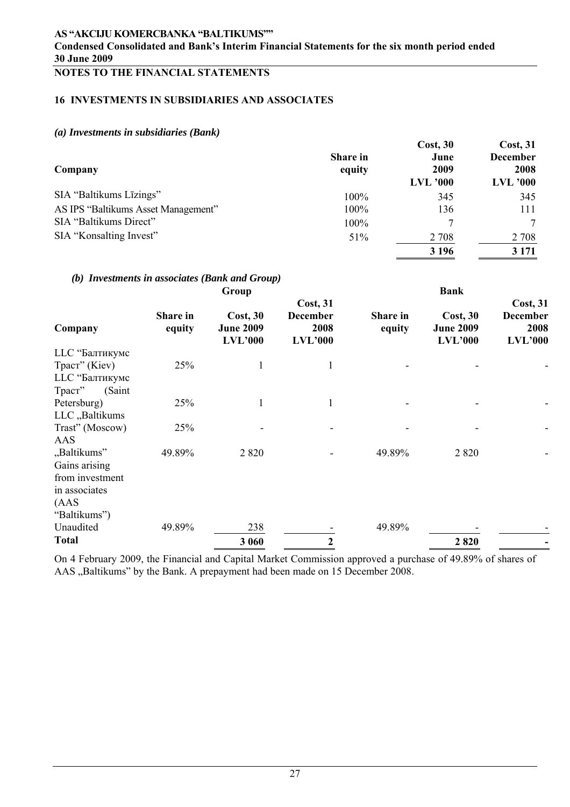# **NOTES TO THE FINANCIAL STATEMENTS**

## **16 INVESTMENTS IN SUBSIDIARIES AND ASSOCIATES**

### *(a) Investments in subsidiaries (Bank)*

| Company                             | <b>Share in</b><br>equity | Cost, 30<br>June<br>2009<br><b>LVL</b> '000 | Cost, 31<br><b>December</b><br>2008<br><b>LVL</b> '000 |
|-------------------------------------|---------------------------|---------------------------------------------|--------------------------------------------------------|
| SIA "Baltikums Līzings"             | 100%                      | 345                                         | 345                                                    |
| AS IPS "Baltikums Asset Management" | 100%                      | 136                                         | 111                                                    |
| SIA "Baltikums Direct"              | 100%                      |                                             |                                                        |
| SIA "Konsalting Invest"             | 51%                       | 2 7 0 8                                     | 2 7 0 8                                                |
|                                     |                           | 3 1 9 6                                     | 3 1 7 1                                                |

## *(b) Investments in associates (Bank and Group)*

|                  | Group              |                              |                                            | <b>Bank</b>        |                              |                                     |  |
|------------------|--------------------|------------------------------|--------------------------------------------|--------------------|------------------------------|-------------------------------------|--|
| Company          | Share in<br>equity | Cost, 30<br><b>June 2009</b> | <b>Cost, 31</b><br><b>December</b><br>2008 | Share in<br>equity | Cost, 30<br><b>June 2009</b> | Cost, 31<br><b>December</b><br>2008 |  |
|                  |                    | <b>LVL'000</b>               | LVL'000                                    |                    | <b>LVL'000</b>               | LVL'000                             |  |
| LLC "Балтикумс   |                    |                              |                                            |                    |                              |                                     |  |
| Траст" (Kiev)    | 25%                | 1                            |                                            |                    |                              |                                     |  |
| LLC "Балтикумс   |                    |                              |                                            |                    |                              |                                     |  |
| Траст"<br>(Saint |                    |                              |                                            |                    |                              |                                     |  |
| Petersburg)      | 25%                | 1                            | 1                                          |                    |                              |                                     |  |
| LLC "Baltikums   |                    |                              |                                            |                    |                              |                                     |  |
| Trast" (Moscow)  | 25%                |                              |                                            |                    |                              |                                     |  |
| AAS              |                    |                              |                                            |                    |                              |                                     |  |
| "Baltikums"      | 49.89%             | 2 8 2 0                      |                                            | 49.89%             | 2 8 2 0                      |                                     |  |
| Gains arising    |                    |                              |                                            |                    |                              |                                     |  |
| from investment  |                    |                              |                                            |                    |                              |                                     |  |
| in associates    |                    |                              |                                            |                    |                              |                                     |  |
| (AdS)            |                    |                              |                                            |                    |                              |                                     |  |
| "Baltikums")     |                    |                              |                                            |                    |                              |                                     |  |
| Unaudited        | 49.89%             | 238                          |                                            | 49.89%             |                              |                                     |  |
| <b>Total</b>     |                    | 3 060                        | $\overline{2}$                             |                    | 2820                         |                                     |  |

On 4 February 2009, the Financial and Capital Market Commission approved a purchase of 49.89% of shares of AAS "Baltikums" by the Bank. A prepayment had been made on 15 December 2008.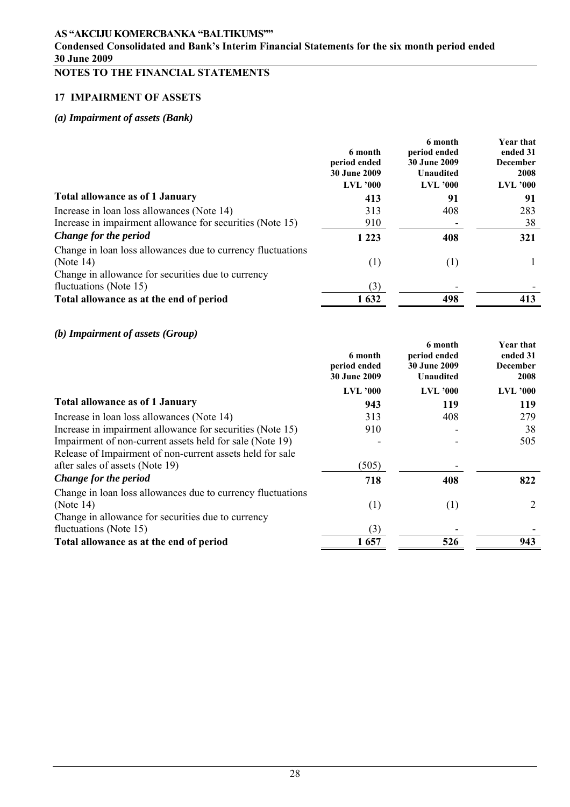## **Condensed Consolidated and Bank's Interim Financial Statements for the six month period ended 30 June 2009**

# **NOTES TO THE FINANCIAL STATEMENTS**

## **17 IMPAIRMENT OF ASSETS**

# *(a) Impairment of assets (Bank)*

|                                                                                                                                   | 6 month<br>period ended<br><b>30 June 2009</b><br>$LVL$ '000 | 6 month<br>period ended<br><b>30 June 2009</b><br><b>Unaudited</b><br>$LVL$ '000 | <b>Year that</b><br>ended 31<br><b>December</b><br>2008<br><b>LVL '000</b> |
|-----------------------------------------------------------------------------------------------------------------------------------|--------------------------------------------------------------|----------------------------------------------------------------------------------|----------------------------------------------------------------------------|
| <b>Total allowance as of 1 January</b>                                                                                            | 413                                                          | 91                                                                               | 91                                                                         |
| Increase in loan loss allowances (Note 14)                                                                                        | 313                                                          | 408                                                                              | 283                                                                        |
| Increase in impairment allowance for securities (Note 15)                                                                         | 910                                                          |                                                                                  | 38                                                                         |
| Change for the period                                                                                                             | 1 2 2 3                                                      | 408                                                                              | 321                                                                        |
| Change in loan loss allowances due to currency fluctuations<br>(Note $14$ )<br>Change in allowance for securities due to currency | (1)                                                          | (1)                                                                              |                                                                            |
| fluctuations (Note 15)                                                                                                            | (3)                                                          |                                                                                  |                                                                            |
| Total allowance as at the end of period                                                                                           | 1632                                                         | 498                                                                              | 413                                                                        |

## *(b) Impairment of assets (Group)*

|                                                             | 6 month<br>period ended<br><b>30 June 2009</b> | 6 month<br>period ended<br><b>30 June 2009</b><br><b>Unaudited</b> | Year that<br>ended 31<br><b>December</b><br>2008 |
|-------------------------------------------------------------|------------------------------------------------|--------------------------------------------------------------------|--------------------------------------------------|
|                                                             | <b>LVL '000</b>                                | <b>LVL</b> '000                                                    | <b>LVL '000</b>                                  |
| <b>Total allowance as of 1 January</b>                      | 943                                            | 119                                                                | 119                                              |
| Increase in loan loss allowances (Note 14)                  | 313                                            | 408                                                                | 279                                              |
| Increase in impairment allowance for securities (Note 15)   | 910                                            |                                                                    | 38                                               |
| Impairment of non-current assets held for sale (Note 19)    |                                                |                                                                    | 505                                              |
| Release of Impairment of non-current assets held for sale   |                                                |                                                                    |                                                  |
| after sales of assets (Note 19)                             | (505)                                          |                                                                    |                                                  |
| Change for the period                                       | 718                                            | 408                                                                | 822                                              |
| Change in loan loss allowances due to currency fluctuations |                                                |                                                                    |                                                  |
| (Note $14$ )                                                | (1)                                            | (1)                                                                | 2                                                |
| Change in allowance for securities due to currency          |                                                |                                                                    |                                                  |
| fluctuations (Note 15)                                      | (3)                                            |                                                                    |                                                  |
| Total allowance as at the end of period                     | 1657                                           | 526                                                                | 943                                              |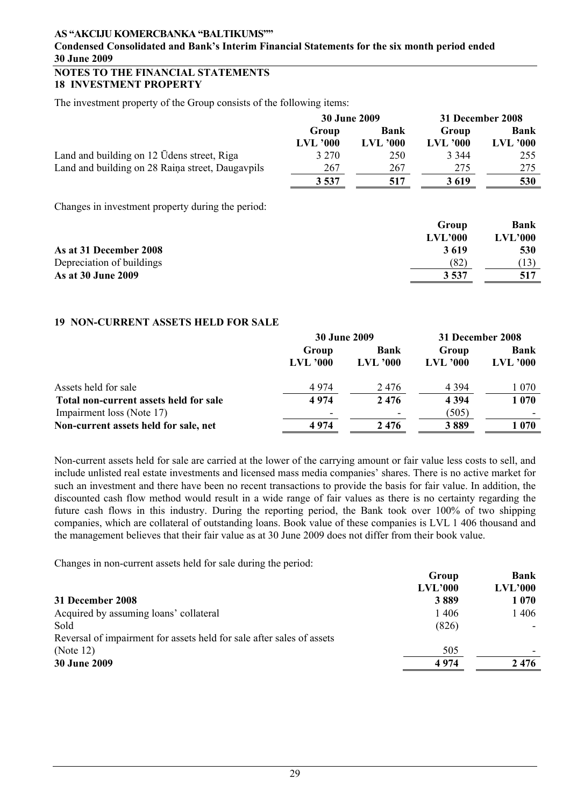### **Condensed Consolidated and Bank's Interim Financial Statements for the six month period ended 30 June 2009**

#### **NOTES TO THE FINANCIAL STATEMENTS 18 INVESTMENT PROPERTY**

The investment property of the Group consists of the following items:

|                                                   | <b>30 June 2009</b> |            | 31 December 2008 |                 |
|---------------------------------------------------|---------------------|------------|------------------|-----------------|
|                                                   | Group               | Bank       | Group            | Bank            |
|                                                   | $LVL$ '000          | $LVL$ '000 | <b>LVL</b> '000  | <b>LVL '000</b> |
| Land and building on 12 Udens street, Riga        | 3 2 7 0             | 250        | 3 3 4 4          | 255             |
| Land and building on 28 Raina street, Daugavpils  | 267                 | 267        | 275              | 275             |
|                                                   | 3 5 3 7             | 517        | 3619             | 530             |
| Changes in investment property during the period: |                     |            |                  |                 |

**Group Bank LVL'000 LVL'000 As at 31 December 2008 3 619 530** Depreciation of buildings  $(82)$  (13) **As at 30 June 2009** 3 537 517

### **19 NON-CURRENT ASSETS HELD FOR SALE**

|                                        | <b>30 June 2009</b>      |               | 31 December 2008 |                 |  |
|----------------------------------------|--------------------------|---------------|------------------|-----------------|--|
|                                        | Group                    | Bank<br>Group |                  | <b>Bank</b>     |  |
|                                        | $LVL$ '000               | $LVL$ '000    | $LVL$ '000       | <b>LVL</b> '000 |  |
| Assets held for sale                   | 4974                     | 2476          | 4 3 9 4          | 1 070           |  |
| Total non-current assets held for sale | 4974                     | 2476          | 4 3 9 4          | 1070            |  |
| Impairment loss (Note 17)              | $\overline{\phantom{a}}$ |               | (505)            |                 |  |
| Non-current assets held for sale, net  | 4974                     | 2476          | 3889             | 1070            |  |

Non-current assets held for sale are carried at the lower of the carrying amount or fair value less costs to sell, and include unlisted real estate investments and licensed mass media companies' shares. There is no active market for such an investment and there have been no recent transactions to provide the basis for fair value. In addition, the discounted cash flow method would result in a wide range of fair values as there is no certainty regarding the future cash flows in this industry. During the reporting period, the Bank took over 100% of two shipping companies, which are collateral of outstanding loans. Book value of these companies is LVL 1 406 thousand and the management believes that their fair value as at 30 June 2009 does not differ from their book value.

Changes in non-current assets held for sale during the period:

|                                                                       | Group   | Bank    |
|-----------------------------------------------------------------------|---------|---------|
|                                                                       | LVL'000 | LVL'000 |
| 31 December 2008                                                      | 3889    | 1 0 7 0 |
| Acquired by assuming loans' collateral                                | 1406    | 1406    |
| Sold                                                                  | (826)   |         |
| Reversal of impairment for assets held for sale after sales of assets |         |         |
| (Note $12$ )                                                          | 505     |         |
| <b>30 June 2009</b>                                                   | 4974    | 2476    |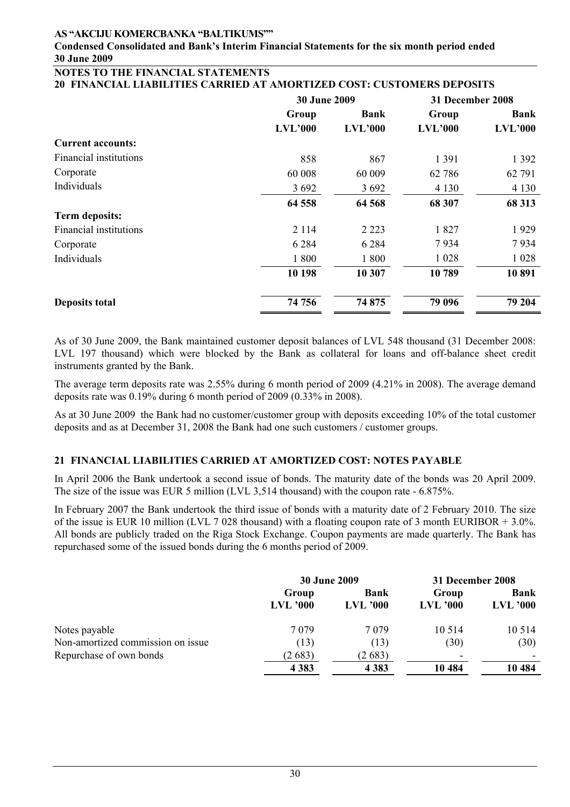#### **Condensed Consolidated and Bank's Interim Financial Statements for the six month period ended 30 June 2009**

#### **NOTES TO THE FINANCIAL STATEMENTS 20 FINANCIAL LIABILITIES CARRIED AT AMORTIZED COST: CUSTOMERS DEPOSITS**

|                               | <b>30 June 2009</b> |                 | 31 December 2008 |                 |  |
|-------------------------------|---------------------|-----------------|------------------|-----------------|--|
|                               | Group<br>LVL'000    | Bank<br>LVL'000 | Group<br>LVL'000 | Bank<br>LVL'000 |  |
| <b>Current accounts:</b>      |                     |                 |                  |                 |  |
| Financial institutions        | 858                 | 867             | 1 3 9 1          | 1 3 9 2         |  |
| Corporate                     | 60 008              | 60 009          | 62 78 6          | 62 791          |  |
| Individuals                   | 3692                | 3 6 9 2         | 4 1 3 0          | 4 1 3 0         |  |
|                               | 64 558              | 64 568          | 68 307           | 68 313          |  |
| <b>Term deposits:</b>         |                     |                 |                  |                 |  |
| <b>Financial institutions</b> | 2 1 1 4             | 2 2 2 3         | 1827             | 1929            |  |
| Corporate                     | 6 2 8 4             | 6 2 8 4         | 7934             | 7934            |  |
| Individuals                   | 1800                | 1800            | 1 0 2 8          | 1 0 2 8         |  |
|                               | 10 198              | 10 307          | 10789            | 10891           |  |
| <b>Deposits total</b>         | 74 756              | 74 875          | 79 096           | 79 204          |  |

As of 30 June 2009, the Bank maintained customer deposit balances of LVL 548 thousand (31 December 2008: LVL 197 thousand) which were blocked by the Bank as collateral for loans and off-balance sheet credit instruments granted by the Bank.

The average term deposits rate was 2.55% during 6 month period of 2009 (4.21% in 2008). The average demand deposits rate was 0.19% during 6 month period of 2009 (0.33% in 2008).

As at 30 June 2009 the Bank had no customer/customer group with deposits exceeding 10% of the total customer deposits and as at December 31, 2008 the Bank had one such customers / customer groups.

### **21 FINANCIAL LIABILITIES CARRIED AT AMORTIZED COST: NOTES PAYABLE**

In April 2006 the Bank undertook a second issue of bonds. The maturity date of the bonds was 20 April 2009. The size of the issue was EUR 5 million (LVL 3,514 thousand) with the coupon rate - 6.875%.

In February 2007 the Bank undertook the third issue of bonds with a maturity date of 2 February 2010. The size of the issue is EUR 10 million (LVL 7 028 thousand) with a floating coupon rate of 3 month EURIBOR  $+ 3.0\%$ . All bonds are publicly traded on the Riga Stock Exchange. Coupon payments are made quarterly. The Bank has repurchased some of the issued bonds during the 6 months period of 2009.

|                                   |                     | <b>30 June 2009</b>            | 31 December 2008    |                    |  |
|-----------------------------------|---------------------|--------------------------------|---------------------|--------------------|--|
|                                   | Group<br>$LVL$ '000 | <b>Bank</b><br><b>LVL '000</b> | Group<br>$LVL$ '000 | Bank<br>$LVL$ '000 |  |
| Notes payable                     | 7 0 7 9             | 7 0 7 9                        | 10 5 14             | 10 5 14            |  |
| Non-amortized commission on issue | (13)                | (13)                           | (30)                | (30)               |  |
| Repurchase of own bonds           | (2683)              | (2683)                         |                     |                    |  |
|                                   | 4 3 8 3             | 4 3 8 3                        | 10 4 84             | 10 4 84            |  |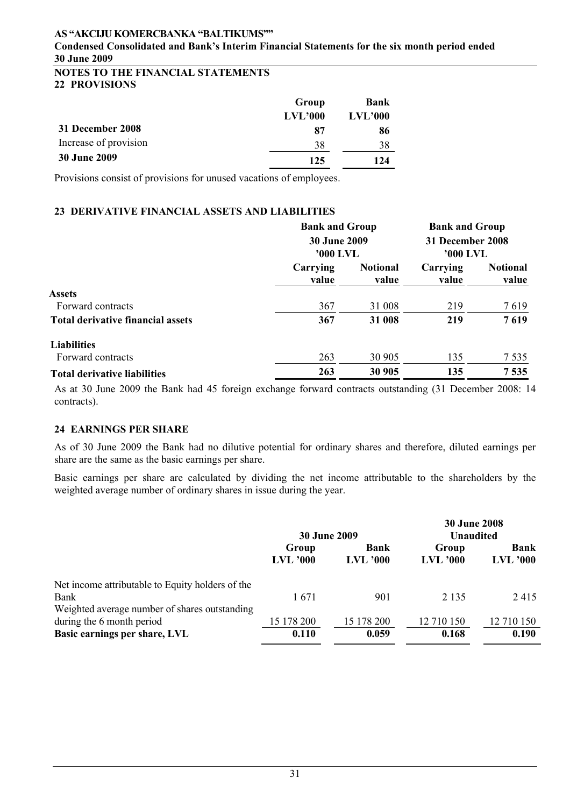**Condensed Consolidated and Bank's Interim Financial Statements for the six month period ended 30 June 2009** 

## **NOTES TO THE FINANCIAL STATEMENTS 22 PROVISIONS**

|                       | Group   | Bank    |
|-----------------------|---------|---------|
|                       | LVL'000 | LVL'000 |
| 31 December 2008      | 87      | 86      |
| Increase of provision | 38      | 38      |
| <b>30 June 2009</b>   | 125     | 124     |

Provisions consist of provisions for unused vacations of employees.

### **23 DERIVATIVE FINANCIAL ASSETS AND LIABILITIES**

|                                          | <b>Bank and Group</b><br><b>30 June 2009</b><br>'000 LVL |                          | <b>Bank and Group</b><br>31 December 2008<br>'000 LVL |                          |
|------------------------------------------|----------------------------------------------------------|--------------------------|-------------------------------------------------------|--------------------------|
|                                          | Carrying<br>value                                        | <b>Notional</b><br>value | Carrying<br>value                                     | <b>Notional</b><br>value |
| <b>Assets</b>                            |                                                          |                          |                                                       |                          |
| Forward contracts                        | 367                                                      | 31 008                   | 219                                                   | 7619                     |
| <b>Total derivative financial assets</b> | 367                                                      | 31 008                   | 219                                                   | 7619                     |
| <b>Liabilities</b>                       |                                                          |                          |                                                       |                          |
| Forward contracts                        | 263                                                      | 30 905                   | 135                                                   | 7 5 3 5                  |
| <b>Total derivative liabilities</b>      | 263                                                      | 30 905                   | 135                                                   | 7535                     |

As at 30 June 2009 the Bank had 45 foreign exchange forward contracts outstanding (31 December 2008: 14 contracts).

## **24 EARNINGS PER SHARE**

As of 30 June 2009 the Bank had no dilutive potential for ordinary shares and therefore, diluted earnings per share are the same as the basic earnings per share.

Basic earnings per share are calculated by dividing the net income attributable to the shareholders by the weighted average number of ordinary shares in issue during the year.

|                                                                                                           | <b>30 June 2009</b> |                 | <b>30 June 2008</b><br><b>Unaudited</b> |                 |  |
|-----------------------------------------------------------------------------------------------------------|---------------------|-----------------|-----------------------------------------|-----------------|--|
|                                                                                                           | Group               | <b>Bank</b>     | Group                                   | <b>Bank</b>     |  |
|                                                                                                           | <b>LVL</b> '000     | <b>LVL</b> '000 | <b>LVL '000</b>                         | <b>LVL '000</b> |  |
| Net income attributable to Equity holders of the<br>Bank<br>Weighted average number of shares outstanding | 1671                | 901             | 2 1 3 5                                 | 2415            |  |
| during the 6 month period                                                                                 | 15 178 200          | 15 178 200      | 12 710 150                              | 12 710 150      |  |
| Basic earnings per share, LVL                                                                             | 0.110               | 0.059           | 0.168                                   | 0.190           |  |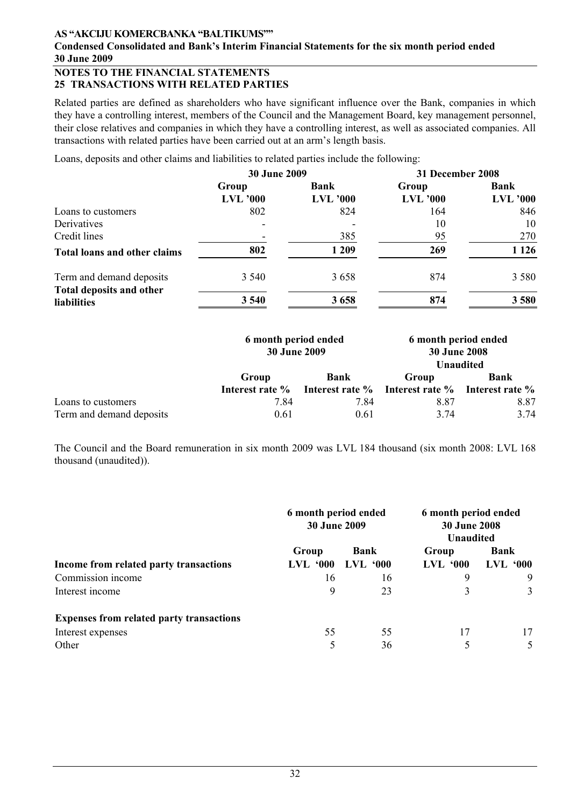## **Condensed Consolidated and Bank's Interim Financial Statements for the six month period ended 30 June 2009**

### **NOTES TO THE FINANCIAL STATEMENTS 25 TRANSACTIONS WITH RELATED PARTIES**

Related parties are defined as shareholders who have significant influence over the Bank, companies in which they have a controlling interest, members of the Council and the Management Board, key management personnel, their close relatives and companies in which they have a controlling interest, as well as associated companies. All transactions with related parties have been carried out at an arm's length basis.

Loans, deposits and other claims and liabilities to related parties include the following:

|                                     | 30 June 2009    |                 | 31 December 2008 |                 |  |
|-------------------------------------|-----------------|-----------------|------------------|-----------------|--|
|                                     | Group           | Bank            | Group            | <b>Bank</b>     |  |
|                                     | <b>LVL</b> '000 | <b>LVL</b> '000 | <b>LVL '000</b>  | <b>LVL '000</b> |  |
| Loans to customers                  | 802             | 824             | 164              | 846             |  |
| Derivatives                         |                 |                 | 10               | 10              |  |
| Credit lines                        |                 | 385             | 95               | 270             |  |
| <b>Total loans and other claims</b> | 802             | 1 209           | 269              | 1 1 2 6         |  |
| Term and demand deposits            | 3 5 4 0         | 3658            | 874              | 3 5 8 0         |  |
| Total deposits and other            |                 |                 |                  |                 |  |
| <b>liabilities</b>                  | 3 5 4 0         | 3658            | 874              | 3580            |  |

|                                                | 6 month period ended<br><b>30 June 2009</b> |                                                                                | 6 month period ended<br><b>30 June 2008</b><br><b>Unaudited</b> |              |  |
|------------------------------------------------|---------------------------------------------|--------------------------------------------------------------------------------|-----------------------------------------------------------------|--------------|--|
|                                                | Group                                       | <b>Bank</b><br>Interest rate % Interest rate % Interest rate % Interest rate % | Group                                                           | <b>Bank</b>  |  |
| Loans to customers<br>Term and demand deposits | 7.84<br>0.61                                | 7.84<br>0.61                                                                   | 8.87<br>3.74                                                    | 8.87<br>3.74 |  |

The Council and the Board remuneration in six month 2009 was LVL 184 thousand (six month 2008: LVL 168 thousand (unaudited)).

|                                                 | 6 month period ended<br><b>30 June 2009</b> |                 | 6 month period ended<br><b>30 June 2008</b><br><b>Unaudited</b> |                      |  |
|-------------------------------------------------|---------------------------------------------|-----------------|-----------------------------------------------------------------|----------------------|--|
|                                                 | Group                                       | <b>Bank</b>     | Group                                                           | <b>Bank</b>          |  |
| Income from related party transactions          | .000<br>LVL.                                | <b>LVL '000</b> | <b>LVL '000</b>                                                 | LVL<br>$^{\circ}000$ |  |
| Commission income                               | 16                                          | 16              | 9                                                               | 9                    |  |
| Interest income                                 | 9                                           | 23              | 3                                                               | 3                    |  |
| <b>Expenses from related party transactions</b> |                                             |                 |                                                                 |                      |  |
| Interest expenses                               | 55                                          | 55              | 17                                                              | 17                   |  |
| Other                                           |                                             | 36              |                                                                 | 5                    |  |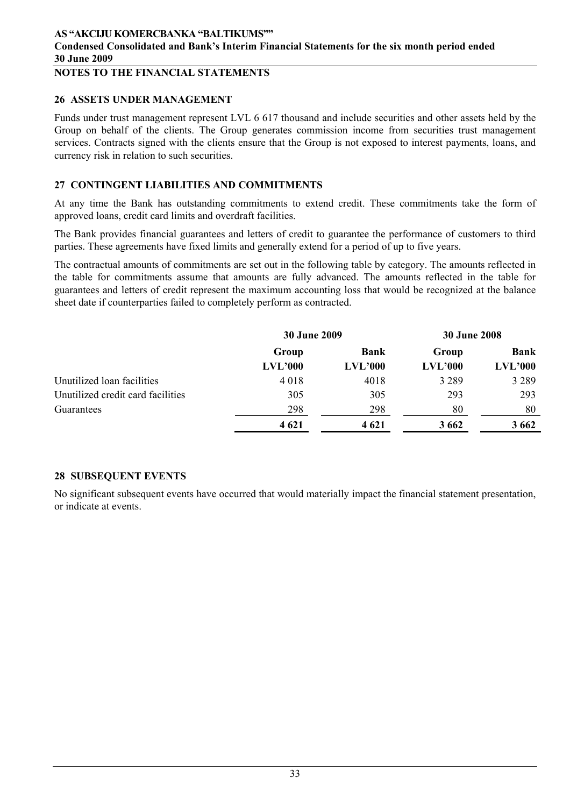# **NOTES TO THE FINANCIAL STATEMENTS**

#### **26 ASSETS UNDER MANAGEMENT**

Funds under trust management represent LVL 6 617 thousand and include securities and other assets held by the Group on behalf of the clients. The Group generates commission income from securities trust management services. Contracts signed with the clients ensure that the Group is not exposed to interest payments, loans, and currency risk in relation to such securities.

### **27 CONTINGENT LIABILITIES AND COMMITMENTS**

At any time the Bank has outstanding commitments to extend credit. These commitments take the form of approved loans, credit card limits and overdraft facilities.

The Bank provides financial guarantees and letters of credit to guarantee the performance of customers to third parties. These agreements have fixed limits and generally extend for a period of up to five years.

The contractual amounts of commitments are set out in the following table by category. The amounts reflected in the table for commitments assume that amounts are fully advanced. The amounts reflected in the table for guarantees and letters of credit represent the maximum accounting loss that would be recognized at the balance sheet date if counterparties failed to completely perform as contracted.

|                                   | <b>30 June 2009</b> |             | <b>30 June 2008</b> |         |  |
|-----------------------------------|---------------------|-------------|---------------------|---------|--|
|                                   | Group               | <b>Bank</b> | Group               | Bank    |  |
|                                   | LVL'000             | LVL'000     | LVL'000             | LVL'000 |  |
| Unutilized loan facilities        | 4018                | 4018        | 3 2 8 9             | 3 2 8 9 |  |
| Unutilized credit card facilities | 305                 | 305         | 293                 | 293     |  |
| Guarantees                        | 298                 | 298         | 80                  | 80      |  |
|                                   | 4 6 21              | 4 6 21      | 3 6 6 2             | 3 6 6 2 |  |

### **28 SUBSEQUENT EVENTS**

No significant subsequent events have occurred that would materially impact the financial statement presentation, or indicate at events.